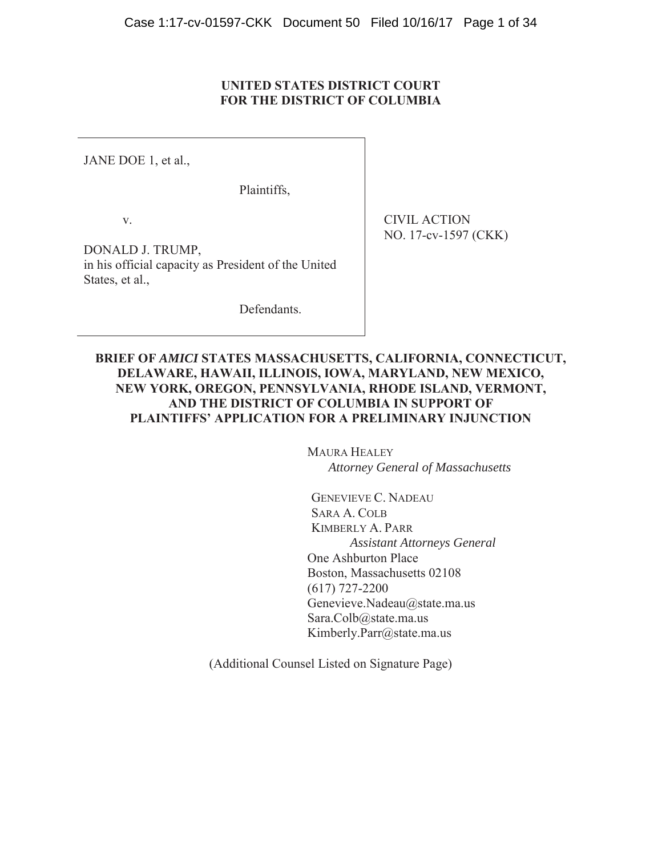# **UNITED STATES DISTRICT COURT FOR THE DISTRICT OF COLUMBIA**

JANE DOE 1, et al.,

Plaintiffs,

v.

DONALD J. TRUMP, in his official capacity as President of the United States, et al.,

Defendants.

CIVIL ACTION NO. 17-cv-1597 (CKK)

# **BRIEF OF** *AMICI* **STATES MASSACHUSETTS, CALIFORNIA, CONNECTICUT, DELAWARE, HAWAII, ILLINOIS, IOWA, MARYLAND, NEW MEXICO, NEW YORK, OREGON, PENNSYLVANIA, RHODE ISLAND, VERMONT, AND THE DISTRICT OF COLUMBIA IN SUPPORT OF PLAINTIFFS' APPLICATION FOR A PRELIMINARY INJUNCTION**

 MAURA HEALEY *Attorney General of Massachusetts* 

GENEVIEVE C. NADEAU SARA A. COLB KIMBERLY A. PARR *Assistant Attorneys General* One Ashburton Place Boston, Massachusetts 02108 (617) 727-2200 Genevieve.Nadeau@state.ma.us Sara.Colb@state.ma.us Kimberly.Parr@state.ma.us

(Additional Counsel Listed on Signature Page)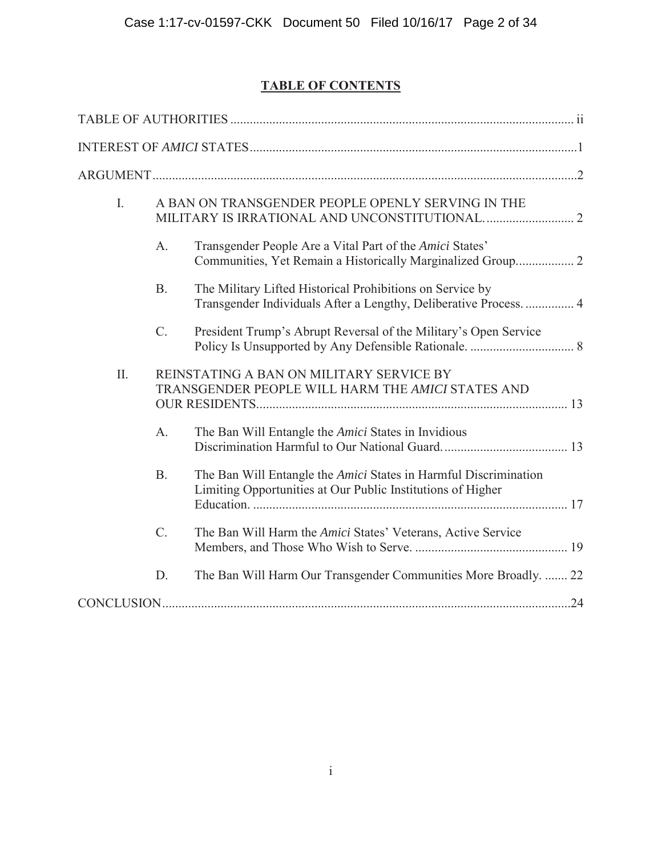# **TABLE OF CONTENTS**

| I.  |                 | A BAN ON TRANSGENDER PEOPLE OPENLY SERVING IN THE                                                                               |  |
|-----|-----------------|---------------------------------------------------------------------------------------------------------------------------------|--|
|     | $A_{\cdot}$     | Transgender People Are a Vital Part of the Amici States'                                                                        |  |
|     | <b>B.</b>       | The Military Lifted Historical Prohibitions on Service by<br>Transgender Individuals After a Lengthy, Deliberative Process 4    |  |
|     | $C_{\cdot}$     | President Trump's Abrupt Reversal of the Military's Open Service                                                                |  |
| II. |                 | REINSTATING A BAN ON MILITARY SERVICE BY<br>TRANSGENDER PEOPLE WILL HARM THE AMICI STATES AND                                   |  |
|     | $A_{\cdot}$     | The Ban Will Entangle the <i>Amici</i> States in Invidious                                                                      |  |
|     | <b>B.</b>       | The Ban Will Entangle the Amici States in Harmful Discrimination<br>Limiting Opportunities at Our Public Institutions of Higher |  |
|     | $\mathcal{C}$ . | The Ban Will Harm the Amici States' Veterans, Active Service                                                                    |  |
|     | D.              | The Ban Will Harm Our Transgender Communities More Broadly.  22                                                                 |  |
|     |                 |                                                                                                                                 |  |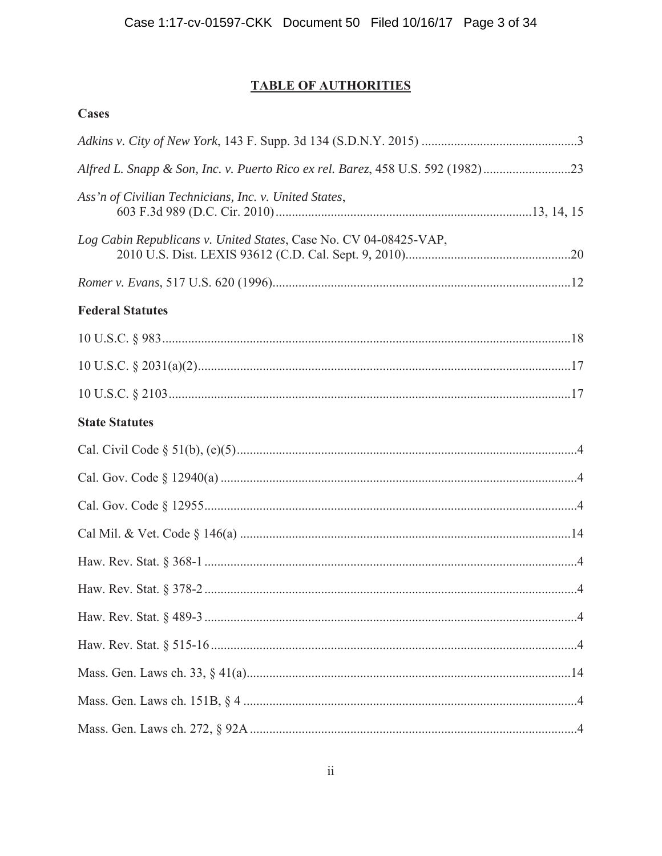# **TABLE OF AUTHORITIES**

| <b>Cases</b>                                                                  |     |
|-------------------------------------------------------------------------------|-----|
|                                                                               |     |
| Alfred L. Snapp & Son, Inc. v. Puerto Rico ex rel. Barez, 458 U.S. 592 (1982) |     |
| Ass'n of Civilian Technicians, Inc. v. United States,                         |     |
| Log Cabin Republicans v. United States, Case No. CV 04-08425-VAP,             |     |
|                                                                               |     |
| <b>Federal Statutes</b>                                                       |     |
|                                                                               |     |
|                                                                               |     |
|                                                                               |     |
| <b>State Statutes</b>                                                         |     |
|                                                                               |     |
|                                                                               |     |
|                                                                               |     |
|                                                                               |     |
|                                                                               |     |
|                                                                               | . 4 |
|                                                                               |     |
|                                                                               |     |
|                                                                               |     |
|                                                                               |     |
|                                                                               |     |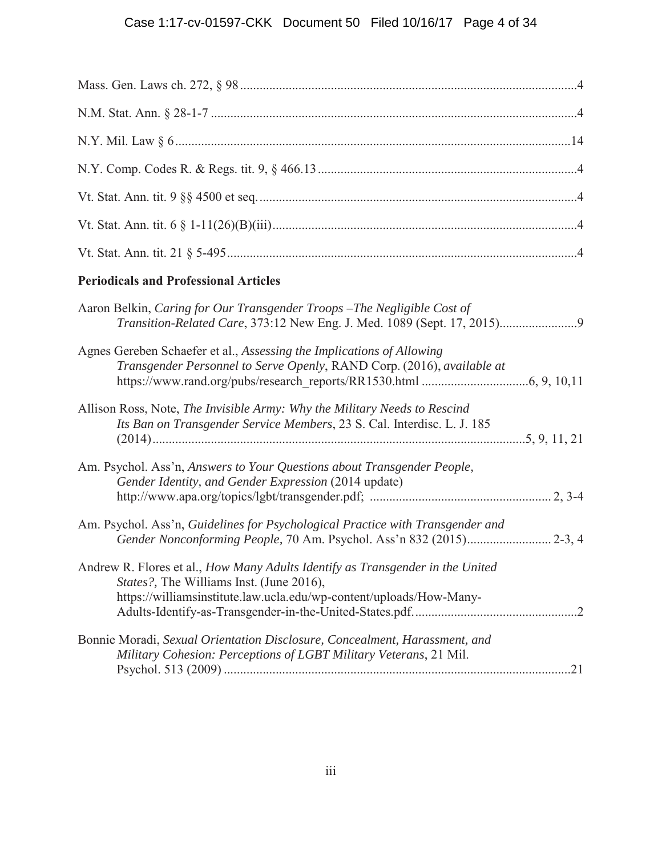# Case 1:17-cv-01597-CKK Document 50 Filed 10/16/17 Page 4 of 34

| <b>Periodicals and Professional Articles</b>                                                                                                                                                              |  |
|-----------------------------------------------------------------------------------------------------------------------------------------------------------------------------------------------------------|--|
| Aaron Belkin, Caring for Our Transgender Troops - The Negligible Cost of                                                                                                                                  |  |
| Agnes Gereben Schaefer et al., Assessing the Implications of Allowing<br>Transgender Personnel to Serve Openly, RAND Corp. (2016), available at                                                           |  |
| Allison Ross, Note, The Invisible Army: Why the Military Needs to Rescind<br>Its Ban on Transgender Service Members, 23 S. Cal. Interdisc. L. J. 185                                                      |  |
| Am. Psychol. Ass'n, Answers to Your Questions about Transgender People,<br>Gender Identity, and Gender Expression (2014 update)                                                                           |  |
| Am. Psychol. Ass'n, Guidelines for Psychological Practice with Transgender and<br>Gender Nonconforming People, 70 Am. Psychol. Ass'n 832 (2015) 2-3, 4                                                    |  |
| Andrew R. Flores et al., How Many Adults Identify as Transgender in the United<br><i>States?</i> , The Williams Inst. (June 2016),<br>https://williamsinstitute.law.ucla.edu/wp-content/uploads/How-Many- |  |
| Bonnie Moradi, Sexual Orientation Disclosure, Concealment, Harassment, and<br>Military Cohesion: Perceptions of LGBT Military Veterans, 21 Mil.                                                           |  |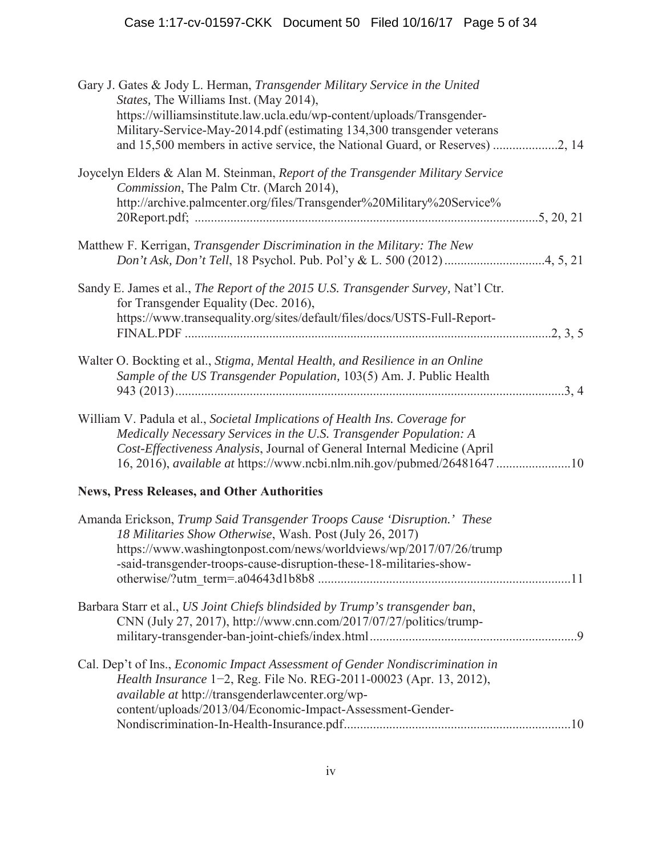| Gary J. Gates & Jody L. Herman, Transgender Military Service in the United<br>States, The Williams Inst. (May 2014),<br>https://williamsinstitute.law.ucla.edu/wp-content/uploads/Transgender-<br>Military-Service-May-2014.pdf (estimating 134,300 transgender veterans                                        |  |
|-----------------------------------------------------------------------------------------------------------------------------------------------------------------------------------------------------------------------------------------------------------------------------------------------------------------|--|
| Joycelyn Elders & Alan M. Steinman, Report of the Transgender Military Service<br>Commission, The Palm Ctr. (March 2014),<br>http://archive.palmcenter.org/files/Transgender%20Military%20Service%                                                                                                              |  |
| Matthew F. Kerrigan, Transgender Discrimination in the Military: The New                                                                                                                                                                                                                                        |  |
| Sandy E. James et al., The Report of the 2015 U.S. Transgender Survey, Nat'l Ctr.<br>for Transgender Equality (Dec. 2016),<br>https://www.transequality.org/sites/default/files/docs/USTS-Full-Report-                                                                                                          |  |
| Walter O. Bockting et al., Stigma, Mental Health, and Resilience in an Online<br>Sample of the US Transgender Population, 103(5) Am. J. Public Health                                                                                                                                                           |  |
| William V. Padula et al., Societal Implications of Health Ins. Coverage for<br>Medically Necessary Services in the U.S. Transgender Population: A<br>Cost-Effectiveness Analysis, Journal of General Internal Medicine (April<br>16, 2016), <i>available at https://www.ncbi.nlm.nih.gov/pubmed/26481647</i> 10 |  |
| <b>News, Press Releases, and Other Authorities</b>                                                                                                                                                                                                                                                              |  |
| Amanda Erickson, Trump Said Transgender Troops Cause 'Disruption.' These<br>18 Militaries Show Otherwise, Wash. Post (July 26, 2017)<br>https://www.washingtonpost.com/news/worldviews/wp/2017/07/26/trump<br>-said-transgender-troops-cause-disruption-these-18-militaries-show-                               |  |
| Barbara Starr et al., US Joint Chiefs blindsided by Trump's transgender ban,<br>CNN (July 27, 2017), http://www.cnn.com/2017/07/27/politics/trump-                                                                                                                                                              |  |
| Cal. Dep't of Ins., Economic Impact Assessment of Gender Nondiscrimination in<br>Health Insurance 1-2, Reg. File No. REG-2011-00023 (Apr. 13, 2012),<br><i>available at http://transgenderlawcenter.org/wp-</i><br>content/uploads/2013/04/Economic-Impact-Assessment-Gender-                                   |  |
|                                                                                                                                                                                                                                                                                                                 |  |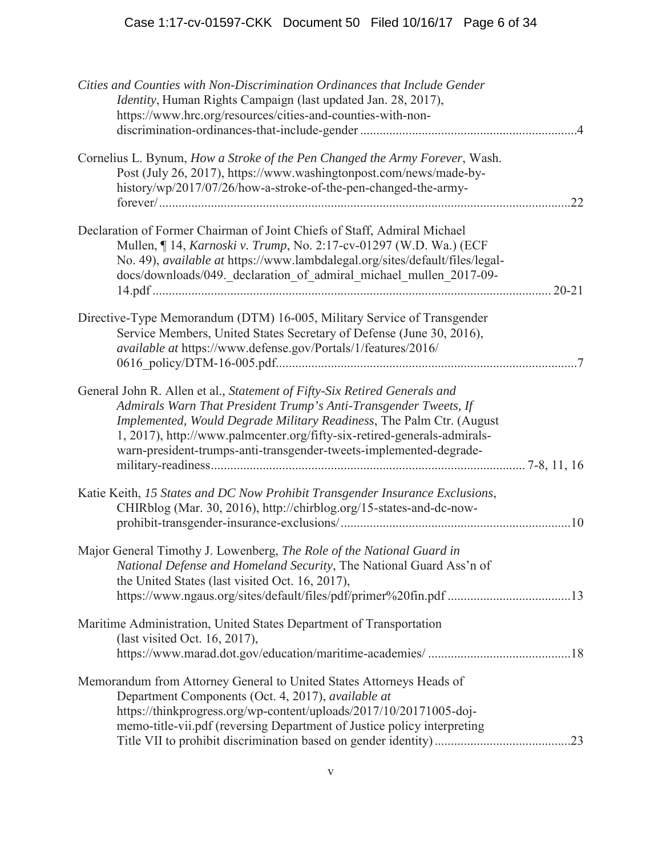| Cities and Counties with Non-Discrimination Ordinances that Include Gender<br><i>Identity</i> , Human Rights Campaign (last updated Jan. 28, 2017),<br>https://www.hrc.org/resources/cities-and-counties-with-non-                                                                                                                                                      | .4        |
|-------------------------------------------------------------------------------------------------------------------------------------------------------------------------------------------------------------------------------------------------------------------------------------------------------------------------------------------------------------------------|-----------|
| Cornelius L. Bynum, How a Stroke of the Pen Changed the Army Forever, Wash.<br>Post (July 26, 2017), https://www.washingtonpost.com/news/made-by-<br>history/wp/2017/07/26/how-a-stroke-of-the-pen-changed-the-army-                                                                                                                                                    | .22       |
| Declaration of Former Chairman of Joint Chiefs of Staff, Admiral Michael<br>Mullen, ¶ 14, Karnoski v. Trump, No. 2:17-cv-01297 (W.D. Wa.) (ECF<br>No. 49), <i>available at</i> https://www.lambdalegal.org/sites/default/files/legal-<br>docs/downloads/049._declaration_of_admiral_michael_mullen_2017-09-                                                             | $20 - 21$ |
| Directive-Type Memorandum (DTM) 16-005, Military Service of Transgender<br>Service Members, United States Secretary of Defense (June 30, 2016),<br>available at https://www.defense.gov/Portals/1/features/2016/                                                                                                                                                        |           |
| General John R. Allen et al., Statement of Fifty-Six Retired Generals and<br>Admirals Warn That President Trump's Anti-Transgender Tweets, If<br>Implemented, Would Degrade Military Readiness, The Palm Ctr. (August<br>1, 2017), http://www.palmcenter.org/fifty-six-retired-generals-admirals-<br>warn-president-trumps-anti-transgender-tweets-implemented-degrade- |           |
| Katie Keith, 15 States and DC Now Prohibit Transgender Insurance Exclusions,<br>CHIRblog (Mar. 30, 2016), http://chirblog.org/15-states-and-dc-now-                                                                                                                                                                                                                     | .10       |
| Major General Timothy J. Lowenberg, The Role of the National Guard in<br>National Defense and Homeland Security, The National Guard Ass'n of<br>the United States (last visited Oct. 16, 2017),<br>https://www.ngaus.org/sites/default/files/pdf/primer%20fin.pdf 13                                                                                                    |           |
| Maritime Administration, United States Department of Transportation<br>(last visited Oct. 16, 2017),                                                                                                                                                                                                                                                                    |           |
| Memorandum from Attorney General to United States Attorneys Heads of<br>Department Components (Oct. 4, 2017), available at<br>https://thinkprogress.org/wp-content/uploads/2017/10/20171005-doj-<br>memo-title-vii.pdf (reversing Department of Justice policy interpreting                                                                                             |           |
|                                                                                                                                                                                                                                                                                                                                                                         | .23       |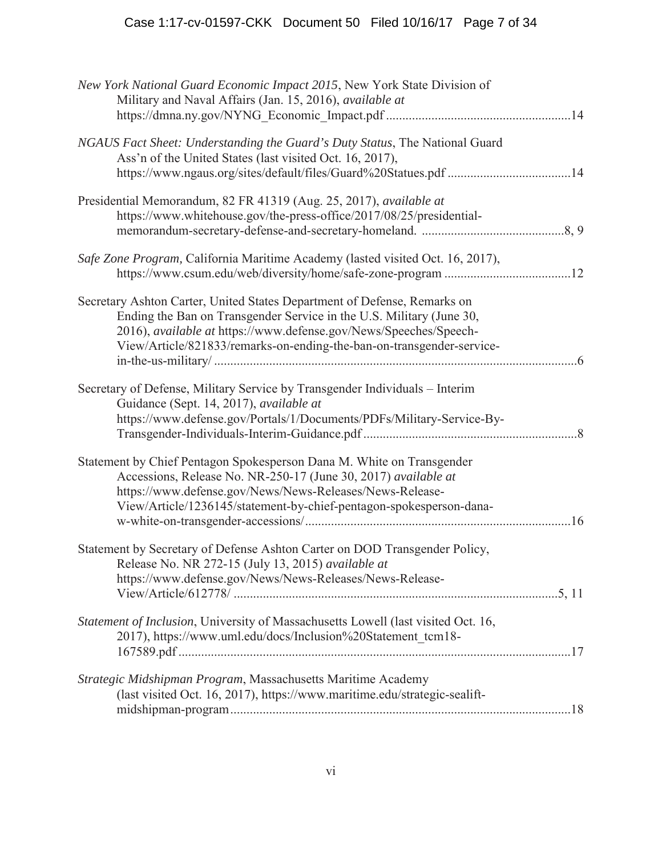| New York National Guard Economic Impact 2015, New York State Division of<br>Military and Naval Affairs (Jan. 15, 2016), available at                                                                                                                                                           |    |
|------------------------------------------------------------------------------------------------------------------------------------------------------------------------------------------------------------------------------------------------------------------------------------------------|----|
| NGAUS Fact Sheet: Understanding the Guard's Duty Status, The National Guard<br>Ass'n of the United States (last visited Oct. 16, 2017),<br>https://www.ngaus.org/sites/default/files/Guard%20Statues.pdf 14                                                                                    |    |
| Presidential Memorandum, 82 FR 41319 (Aug. 25, 2017), available at<br>https://www.whitehouse.gov/the-press-office/2017/08/25/presidential-                                                                                                                                                     |    |
| Safe Zone Program, California Maritime Academy (lasted visited Oct. 16, 2017),                                                                                                                                                                                                                 |    |
| Secretary Ashton Carter, United States Department of Defense, Remarks on<br>Ending the Ban on Transgender Service in the U.S. Military (June 30,<br>2016), available at https://www.defense.gov/News/Speeches/Speech-<br>View/Article/821833/remarks-on-ending-the-ban-on-transgender-service- | -6 |
| Secretary of Defense, Military Service by Transgender Individuals – Interim<br>Guidance (Sept. 14, 2017), available at<br>https://www.defense.gov/Portals/1/Documents/PDFs/Military-Service-By-                                                                                                |    |
| Statement by Chief Pentagon Spokesperson Dana M. White on Transgender<br>Accessions, Release No. NR-250-17 (June 30, 2017) available at<br>https://www.defense.gov/News/News-Releases/News-Release-<br>View/Article/1236145/statement-by-chief-pentagon-spokesperson-dana-                     |    |
| Statement by Secretary of Defense Ashton Carter on DOD Transgender Policy,<br>Release No. NR 272-15 (July 13, 2015) available at<br>https://www.defense.gov/News/News-Releases/News-Release-                                                                                                   |    |
| Statement of Inclusion, University of Massachusetts Lowell (last visited Oct. 16,<br>2017), https://www.uml.edu/docs/Inclusion%20Statement tcm18-                                                                                                                                              |    |
| Strategic Midshipman Program, Massachusetts Maritime Academy<br>(last visited Oct. 16, 2017), https://www.maritime.edu/strategic-sealift-                                                                                                                                                      |    |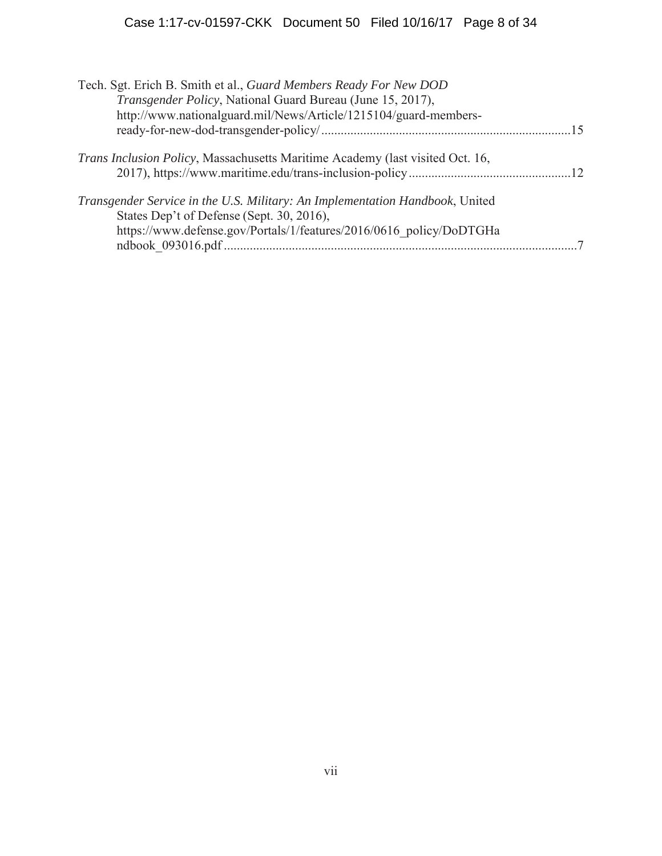| Tech. Sgt. Erich B. Smith et al., Guard Members Ready For New DOD                                                         |  |
|---------------------------------------------------------------------------------------------------------------------------|--|
| Transgender Policy, National Guard Bureau (June 15, 2017),                                                                |  |
| http://www.nationalguard.mil/News/Article/1215104/guard-members-                                                          |  |
|                                                                                                                           |  |
| <i>Trans Inclusion Policy</i> , Massachusetts Maritime Academy (last visited Oct. 16,                                     |  |
|                                                                                                                           |  |
| Transgender Service in the U.S. Military: An Implementation Handbook, United<br>States Dep't of Defense (Sept. 30, 2016), |  |
| https://www.defense.gov/Portals/1/features/2016/0616 policy/DoDTGHa                                                       |  |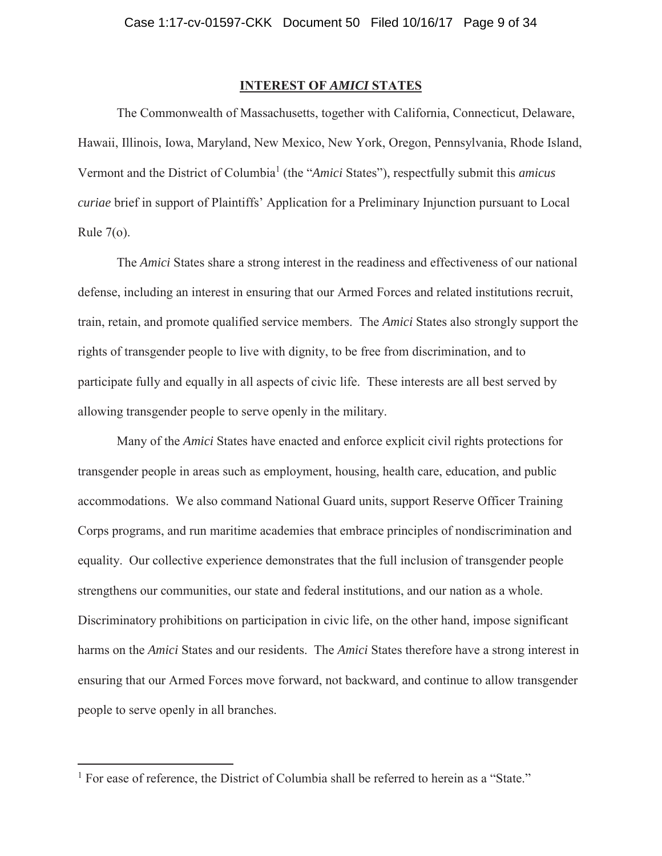# **INTEREST OF** *AMICI* **STATES**

The Commonwealth of Massachusetts, together with California, Connecticut, Delaware, Hawaii, Illinois, Iowa, Maryland, New Mexico, New York, Oregon, Pennsylvania, Rhode Island, Vermont and the District of Columbia<sup>1</sup> (the "*Amici* States"), respectfully submit this *amicus curiae* brief in support of Plaintiffs' Application for a Preliminary Injunction pursuant to Local Rule  $7<sub>o</sub>$ .

 The *Amici* States share a strong interest in the readiness and effectiveness of our national defense, including an interest in ensuring that our Armed Forces and related institutions recruit, train, retain, and promote qualified service members. The *Amici* States also strongly support the rights of transgender people to live with dignity, to be free from discrimination, and to participate fully and equally in all aspects of civic life. These interests are all best served by allowing transgender people to serve openly in the military.

 Many of the *Amici* States have enacted and enforce explicit civil rights protections for transgender people in areas such as employment, housing, health care, education, and public accommodations. We also command National Guard units, support Reserve Officer Training Corps programs, and run maritime academies that embrace principles of nondiscrimination and equality. Our collective experience demonstrates that the full inclusion of transgender people strengthens our communities, our state and federal institutions, and our nation as a whole. Discriminatory prohibitions on participation in civic life, on the other hand, impose significant harms on the *Amici* States and our residents. The *Amici* States therefore have a strong interest in ensuring that our Armed Forces move forward, not backward, and continue to allow transgender people to serve openly in all branches.

<sup>&</sup>lt;sup>1</sup> For ease of reference, the District of Columbia shall be referred to herein as a "State."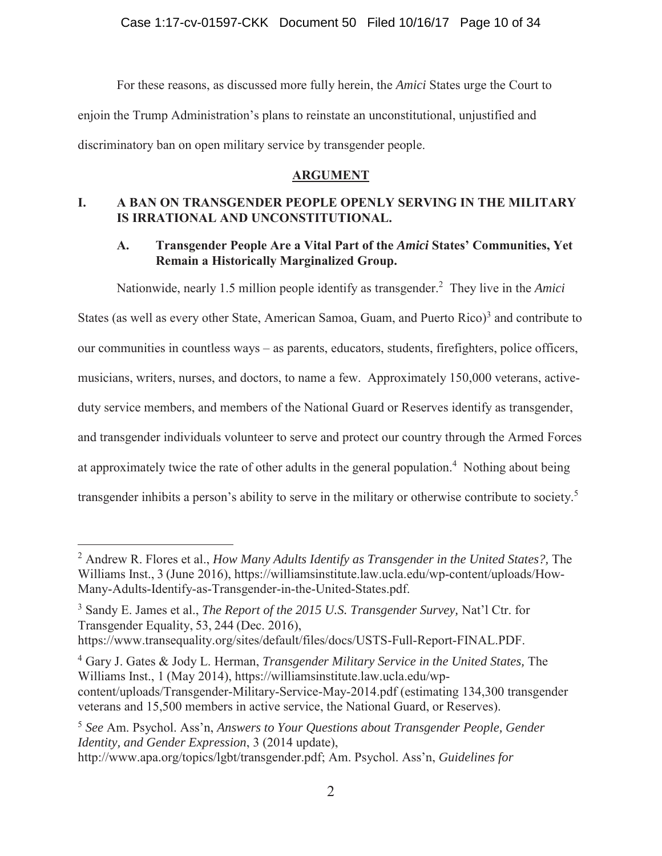For these reasons, as discussed more fully herein, the *Amici* States urge the Court to enjoin the Trump Administration's plans to reinstate an unconstitutional, unjustified and discriminatory ban on open military service by transgender people.

# **ARGUMENT**

# **I. A BAN ON TRANSGENDER PEOPLE OPENLY SERVING IN THE MILITARY IS IRRATIONAL AND UNCONSTITUTIONAL.**

# **A. Transgender People Are a Vital Part of the** *Amici* **States' Communities, Yet Remain a Historically Marginalized Group.**

Nationwide, nearly 1.5 million people identify as transgender.<sup>2</sup> They live in the *Amici* 

States (as well as every other State, American Samoa, Guam, and Puerto Rico)<sup>3</sup> and contribute to our communities in countless ways – as parents, educators, students, firefighters, police officers, musicians, writers, nurses, and doctors, to name a few. Approximately 150,000 veterans, activeduty service members, and members of the National Guard or Reserves identify as transgender, and transgender individuals volunteer to serve and protect our country through the Armed Forces at approximately twice the rate of other adults in the general population.<sup>4</sup> Nothing about being transgender inhibits a person's ability to serve in the military or otherwise contribute to society.<sup>5</sup>

 $\overline{a}$ 

4 Gary J. Gates & Jody L. Herman, *Transgender Military Service in the United States,* The Williams Inst., 1 (May 2014), https://williamsinstitute.law.ucla.edu/wpcontent/uploads/Transgender-Military-Service-May-2014.pdf (estimating 134,300 transgender veterans and 15,500 members in active service, the National Guard, or Reserves).

<sup>2</sup> Andrew R. Flores et al., *How Many Adults Identify as Transgender in the United States?,* The Williams Inst., 3 (June 2016), https://williamsinstitute.law.ucla.edu/wp-content/uploads/How-Many-Adults-Identify-as-Transgender-in-the-United-States.pdf.

<sup>3</sup> Sandy E. James et al., *The Report of the 2015 U.S. Transgender Survey,* Nat'l Ctr. for Transgender Equality, 53, 244 (Dec. 2016),

https://www.transequality.org/sites/default/files/docs/USTS-Full-Report-FINAL.PDF.

<sup>5</sup> *See* Am. Psychol. Ass'n, *Answers to Your Questions about Transgender People, Gender Identity, and Gender Expression*, 3 (2014 update), http://www.apa.org/topics/lgbt/transgender.pdf; Am. Psychol. Ass'n, *Guidelines for*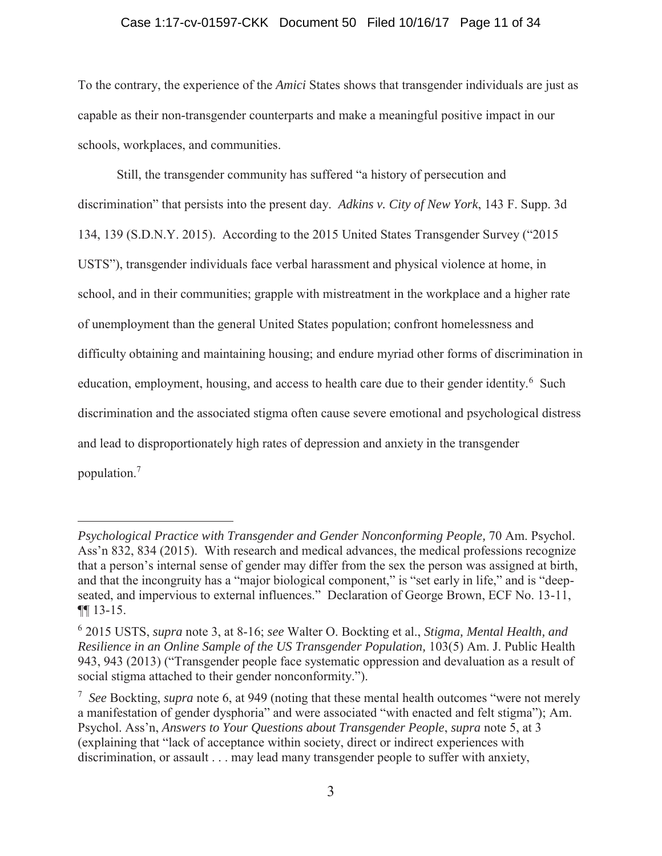#### Case 1:17-cv-01597-CKK Document 50 Filed 10/16/17 Page 11 of 34

To the contrary, the experience of the *Amici* States shows that transgender individuals are just as capable as their non-transgender counterparts and make a meaningful positive impact in our schools, workplaces, and communities.

Still, the transgender community has suffered "a history of persecution and discrimination" that persists into the present day. *Adkins v. City of New York*, 143 F. Supp. 3d 134, 139 (S.D.N.Y. 2015). According to the 2015 United States Transgender Survey ("2015 USTS"), transgender individuals face verbal harassment and physical violence at home, in school, and in their communities; grapple with mistreatment in the workplace and a higher rate of unemployment than the general United States population; confront homelessness and difficulty obtaining and maintaining housing; and endure myriad other forms of discrimination in education, employment, housing, and access to health care due to their gender identity.<sup>6</sup> Such discrimination and the associated stigma often cause severe emotional and psychological distress and lead to disproportionately high rates of depression and anxiety in the transgender population.<sup>7</sup>

*Psychological Practice with Transgender and Gender Nonconforming People, 70 Am. Psychol.* Ass'n 832, 834 (2015). With research and medical advances, the medical professions recognize that a person's internal sense of gender may differ from the sex the person was assigned at birth, and that the incongruity has a "major biological component," is "set early in life," and is "deepseated, and impervious to external influences." Declaration of George Brown, ECF No. 13-11, ¶¶ 13-15.

<sup>6</sup> 2015 USTS, *supra* note 3, at 8-16; *see* Walter O. Bockting et al., *Stigma, Mental Health, and Resilience in an Online Sample of the US Transgender Population,* 103(5) Am. J. Public Health 943, 943 (2013) ("Transgender people face systematic oppression and devaluation as a result of social stigma attached to their gender nonconformity.").

<sup>7</sup> *See* Bockting, *supra* note 6, at 949 (noting that these mental health outcomes "were not merely a manifestation of gender dysphoria" and were associated "with enacted and felt stigma"); Am. Psychol. Ass'n, *Answers to Your Questions about Transgender People*, *supra* note 5, at 3 (explaining that "lack of acceptance within society, direct or indirect experiences with discrimination, or assault . . . may lead many transgender people to suffer with anxiety,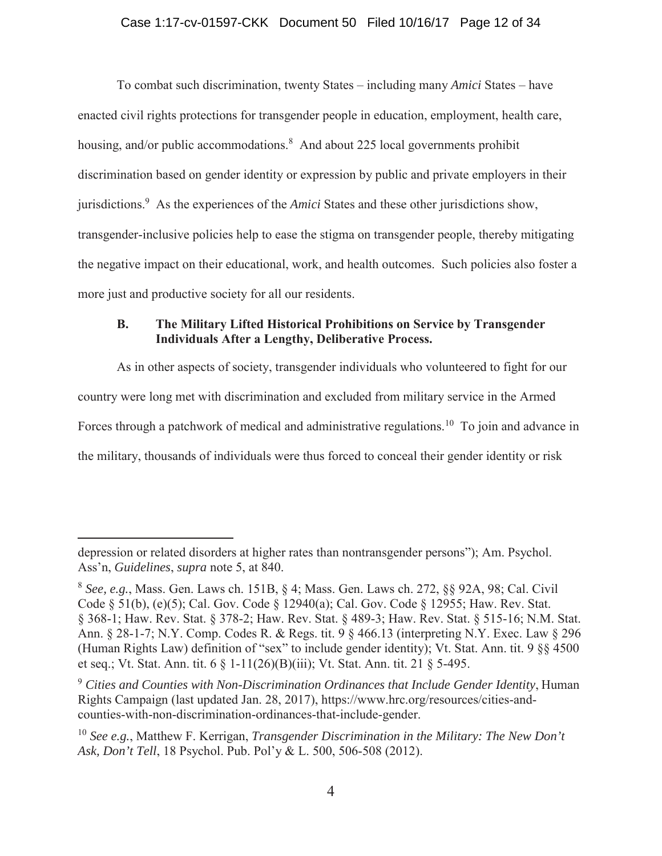### Case 1:17-cv-01597-CKK Document 50 Filed 10/16/17 Page 12 of 34

To combat such discrimination, twenty States – including many *Amici* States – have enacted civil rights protections for transgender people in education, employment, health care, housing, and/or public accommodations.<sup>8</sup> And about 225 local governments prohibit discrimination based on gender identity or expression by public and private employers in their jurisdictions.9 As the experiences of the *Amici* States and these other jurisdictions show, transgender-inclusive policies help to ease the stigma on transgender people, thereby mitigating the negative impact on their educational, work, and health outcomes. Such policies also foster a more just and productive society for all our residents.

# **B. The Military Lifted Historical Prohibitions on Service by Transgender Individuals After a Lengthy, Deliberative Process.**

As in other aspects of society, transgender individuals who volunteered to fight for our country were long met with discrimination and excluded from military service in the Armed Forces through a patchwork of medical and administrative regulations.<sup>10</sup> To join and advance in the military, thousands of individuals were thus forced to conceal their gender identity or risk

depression or related disorders at higher rates than nontransgender persons"); Am. Psychol. Ass'n, *Guidelines*, *supra* note 5, at 840.

<sup>8</sup> *See, e.g.*, Mass. Gen. Laws ch. 151B, § 4; Mass. Gen. Laws ch. 272, §§ 92A, 98; Cal. Civil Code § 51(b), (e)(5); Cal. Gov. Code § 12940(a); Cal. Gov. Code § 12955; Haw. Rev. Stat. § 368-1; Haw. Rev. Stat. § 378-2; Haw. Rev. Stat. § 489-3; Haw. Rev. Stat. § 515-16; N.M. Stat. Ann. § 28-1-7; N.Y. Comp. Codes R. & Regs. tit. 9 § 466.13 (interpreting N.Y. Exec. Law § 296 (Human Rights Law) definition of "sex" to include gender identity); Vt. Stat. Ann. tit. 9 §§ 4500 et seq.; Vt. Stat. Ann. tit. 6 § 1-11(26)(B)(iii); Vt. Stat. Ann. tit. 21 § 5-495.

<sup>9</sup> *Cities and Counties with Non-Discrimination Ordinances that Include Gender Identity*, Human Rights Campaign (last updated Jan. 28, 2017), https://www.hrc.org/resources/cities-andcounties-with-non-discrimination-ordinances-that-include-gender.

<sup>10</sup> *See e.g.*, Matthew F. Kerrigan, *Transgender Discrimination in the Military: The New Don't Ask, Don't Tell*, 18 Psychol. Pub. Pol'y & L. 500, 506-508 (2012).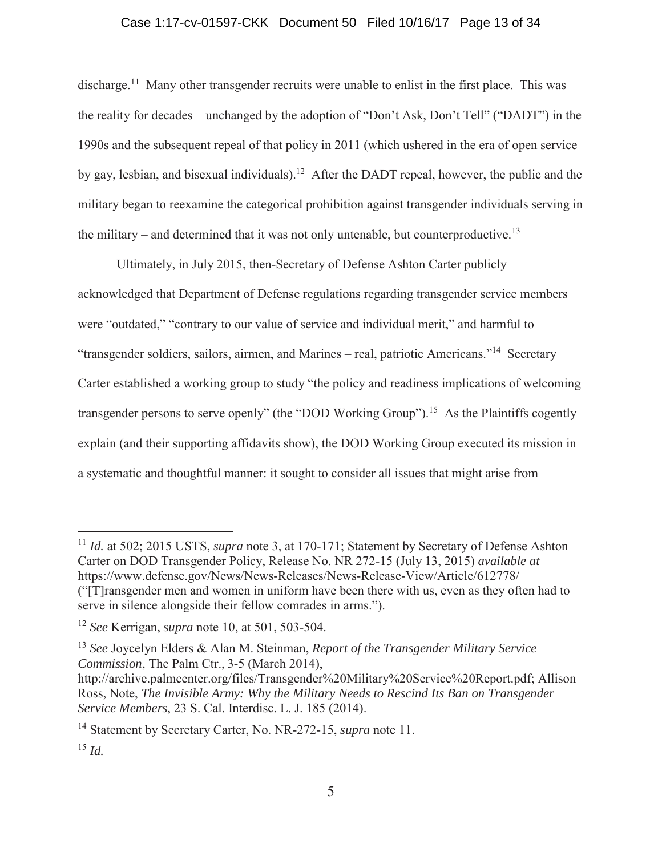### Case 1:17-cv-01597-CKK Document 50 Filed 10/16/17 Page 13 of 34

discharge.<sup>11</sup> Many other transgender recruits were unable to enlist in the first place. This was the reality for decades – unchanged by the adoption of "Don't Ask, Don't Tell" ("DADT") in the 1990s and the subsequent repeal of that policy in 2011 (which ushered in the era of open service by gay, lesbian, and bisexual individuals).12 After the DADT repeal, however, the public and the military began to reexamine the categorical prohibition against transgender individuals serving in the military – and determined that it was not only untenable, but counterproductive.<sup>13</sup>

Ultimately, in July 2015, then-Secretary of Defense Ashton Carter publicly acknowledged that Department of Defense regulations regarding transgender service members were "outdated," "contrary to our value of service and individual merit," and harmful to "transgender soldiers, sailors, airmen, and Marines – real, patriotic Americans."14 Secretary Carter established a working group to study "the policy and readiness implications of welcoming transgender persons to serve openly" (the "DOD Working Group").<sup>15</sup> As the Plaintiffs cogently explain (and their supporting affidavits show), the DOD Working Group executed its mission in a systematic and thoughtful manner: it sought to consider all issues that might arise from

<sup>11</sup> *Id.* at 502; 2015 USTS, *supra* note 3, at 170-171; Statement by Secretary of Defense Ashton Carter on DOD Transgender Policy, Release No. NR 272-15 (July 13, 2015) *available at*  https://www.defense.gov/News/News-Releases/News-Release-View/Article/612778/ ("[T]ransgender men and women in uniform have been there with us, even as they often had to serve in silence alongside their fellow comrades in arms.").

<sup>12</sup> *See* Kerrigan, *supra* note 10, at 501, 503-504.

<sup>13</sup> *See* Joycelyn Elders & Alan M. Steinman, *Report of the Transgender Military Service Commission*, The Palm Ctr., 3-5 (March 2014),

http://archive.palmcenter.org/files/Transgender%20Military%20Service%20Report.pdf; Allison Ross, Note, *The Invisible Army: Why the Military Needs to Rescind Its Ban on Transgender Service Members*, 23 S. Cal. Interdisc. L. J. 185 (2014).

<sup>14</sup> Statement by Secretary Carter, No. NR-272-15, *supra* note 11.

<sup>15</sup> *Id.*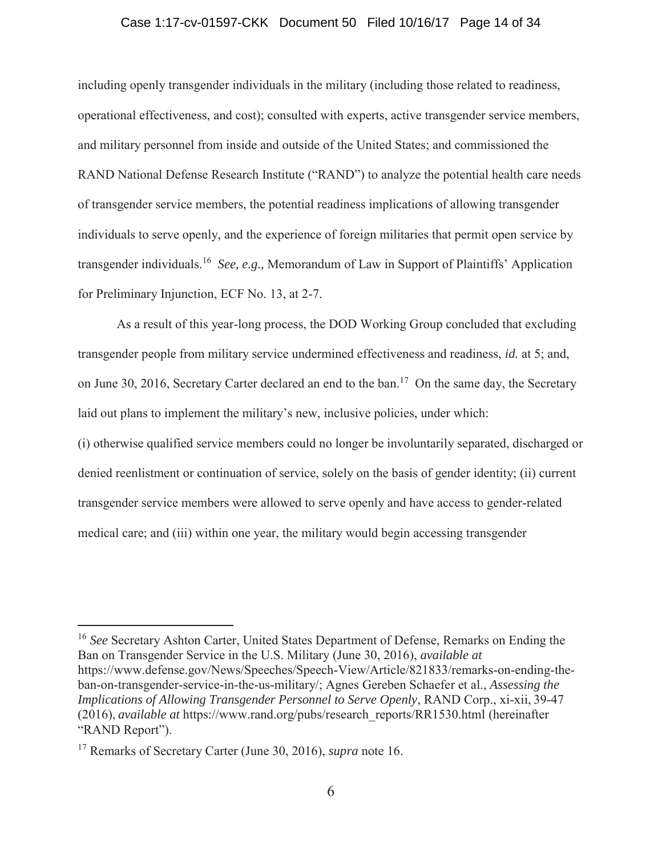#### Case 1:17-cv-01597-CKK Document 50 Filed 10/16/17 Page 14 of 34

including openly transgender individuals in the military (including those related to readiness, operational effectiveness, and cost); consulted with experts, active transgender service members, and military personnel from inside and outside of the United States; and commissioned the RAND National Defense Research Institute ("RAND") to analyze the potential health care needs of transgender service members, the potential readiness implications of allowing transgender individuals to serve openly, and the experience of foreign militaries that permit open service by transgender individuals.16 *See, e.g.,* Memorandum of Law in Support of Plaintiffs' Application for Preliminary Injunction, ECF No. 13, at 2-7.

As a result of this year-long process, the DOD Working Group concluded that excluding transgender people from military service undermined effectiveness and readiness, *id.* at 5; and, on June 30, 2016, Secretary Carter declared an end to the ban.17 On the same day, the Secretary laid out plans to implement the military's new, inclusive policies, under which:

(i) otherwise qualified service members could no longer be involuntarily separated, discharged or denied reenlistment or continuation of service, solely on the basis of gender identity; (ii) current transgender service members were allowed to serve openly and have access to gender-related medical care; and (iii) within one year, the military would begin accessing transgender

<sup>16</sup> *See* Secretary Ashton Carter, United States Department of Defense, Remarks on Ending the Ban on Transgender Service in the U.S. Military (June 30, 2016), *available at* https://www.defense.gov/News/Speeches/Speech-View/Article/821833/remarks-on-ending-theban-on-transgender-service-in-the-us-military/; Agnes Gereben Schaefer et al., *Assessing the Implications of Allowing Transgender Personnel to Serve Openly*, RAND Corp., xi-xii, 39-47 (2016), *available at* https://www.rand.org/pubs/research\_reports/RR1530.html (hereinafter "RAND Report").

<sup>17</sup> Remarks of Secretary Carter (June 30, 2016), *supra* note 16.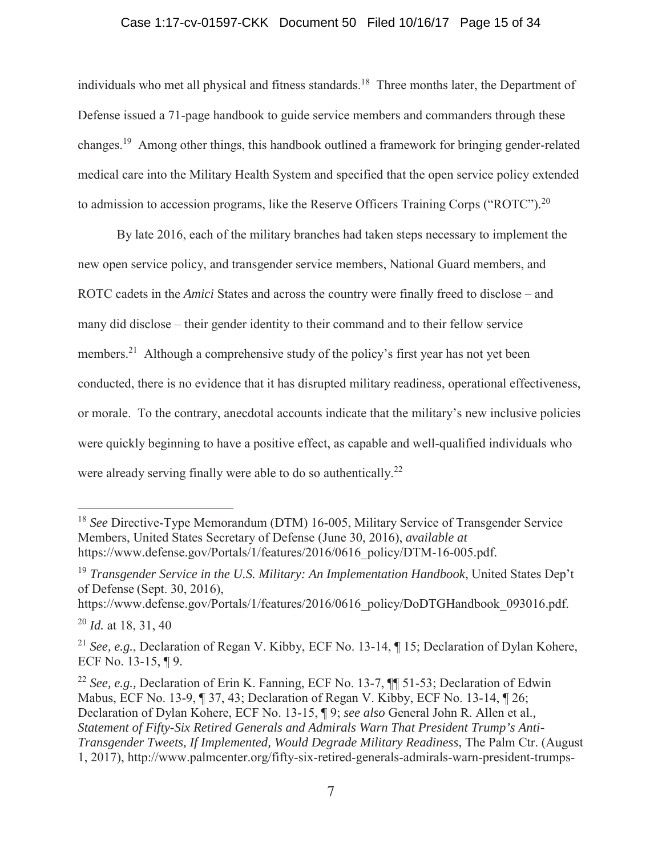### Case 1:17-cv-01597-CKK Document 50 Filed 10/16/17 Page 15 of 34

individuals who met all physical and fitness standards.<sup>18</sup> Three months later, the Department of Defense issued a 71-page handbook to guide service members and commanders through these changes.19 Among other things, this handbook outlined a framework for bringing gender-related medical care into the Military Health System and specified that the open service policy extended to admission to accession programs, like the Reserve Officers Training Corps ("ROTC").<sup>20</sup>

By late 2016, each of the military branches had taken steps necessary to implement the new open service policy, and transgender service members, National Guard members, and ROTC cadets in the *Amici* States and across the country were finally freed to disclose – and many did disclose – their gender identity to their command and to their fellow service members.<sup>21</sup> Although a comprehensive study of the policy's first year has not yet been conducted, there is no evidence that it has disrupted military readiness, operational effectiveness, or morale. To the contrary, anecdotal accounts indicate that the military's new inclusive policies were quickly beginning to have a positive effect, as capable and well-qualified individuals who were already serving finally were able to do so authentically.<sup>22</sup>

<sup>&</sup>lt;sup>18</sup> See Directive-Type Memorandum (DTM) 16-005, Military Service of Transgender Service Members, United States Secretary of Defense (June 30, 2016), *available at* https://www.defense.gov/Portals/1/features/2016/0616\_policy/DTM-16-005.pdf.

<sup>19</sup> *Transgender Service in the U.S. Military: An Implementation Handbook*, United States Dep't of Defense (Sept. 30, 2016),

https://www.defense.gov/Portals/1/features/2016/0616\_policy/DoDTGHandbook\_093016.pdf.

<sup>20</sup> *Id.* at 18, 31, 40

<sup>21</sup> *See, e.g.*, Declaration of Regan V. Kibby, ECF No. 13-14, ¶ 15; Declaration of Dylan Kohere, ECF No. 13-15, ¶ 9.

<sup>22</sup> *See, e.g.,* Declaration of Erin K. Fanning, ECF No. 13-7, ¶¶ 51-53; Declaration of Edwin Mabus, ECF No. 13-9, ¶ 37, 43; Declaration of Regan V. Kibby, ECF No. 13-14, ¶ 26; Declaration of Dylan Kohere, ECF No. 13-15, ¶ 9; *see also* General John R. Allen et al.*, Statement of Fifty-Six Retired Generals and Admirals Warn That President Trump's Anti-Transgender Tweets, If Implemented, Would Degrade Military Readiness*, The Palm Ctr. (August 1, 2017), http://www.palmcenter.org/fifty-six-retired-generals-admirals-warn-president-trumps-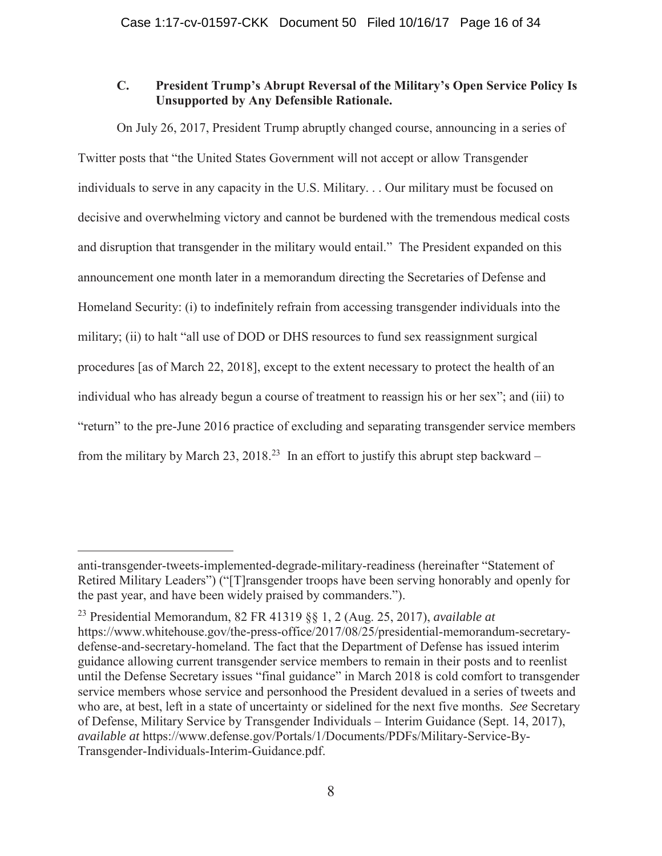# **C. President Trump's Abrupt Reversal of the Military's Open Service Policy Is Unsupported by Any Defensible Rationale.**

On July 26, 2017, President Trump abruptly changed course, announcing in a series of Twitter posts that "the United States Government will not accept or allow Transgender individuals to serve in any capacity in the U.S. Military. . . Our military must be focused on decisive and overwhelming victory and cannot be burdened with the tremendous medical costs and disruption that transgender in the military would entail." The President expanded on this announcement one month later in a memorandum directing the Secretaries of Defense and Homeland Security: (i) to indefinitely refrain from accessing transgender individuals into the military; (ii) to halt "all use of DOD or DHS resources to fund sex reassignment surgical procedures [as of March 22, 2018], except to the extent necessary to protect the health of an individual who has already begun a course of treatment to reassign his or her sex"; and (iii) to "return" to the pre-June 2016 practice of excluding and separating transgender service members from the military by March 23, 2018<sup>23</sup> In an effort to justify this abrupt step backward –

anti-transgender-tweets-implemented-degrade-military-readiness (hereinafter "Statement of Retired Military Leaders") ("[T]ransgender troops have been serving honorably and openly for the past year, and have been widely praised by commanders.").

<sup>23</sup> Presidential Memorandum, 82 FR 41319 §§ 1, 2 (Aug. 25, 2017), *available at* https://www.whitehouse.gov/the-press-office/2017/08/25/presidential-memorandum-secretarydefense-and-secretary-homeland. The fact that the Department of Defense has issued interim guidance allowing current transgender service members to remain in their posts and to reenlist until the Defense Secretary issues "final guidance" in March 2018 is cold comfort to transgender service members whose service and personhood the President devalued in a series of tweets and who are, at best, left in a state of uncertainty or sidelined for the next five months. *See* Secretary of Defense, Military Service by Transgender Individuals – Interim Guidance (Sept. 14, 2017), *available at* https://www.defense.gov/Portals/1/Documents/PDFs/Military-Service-By-Transgender-Individuals-Interim-Guidance.pdf.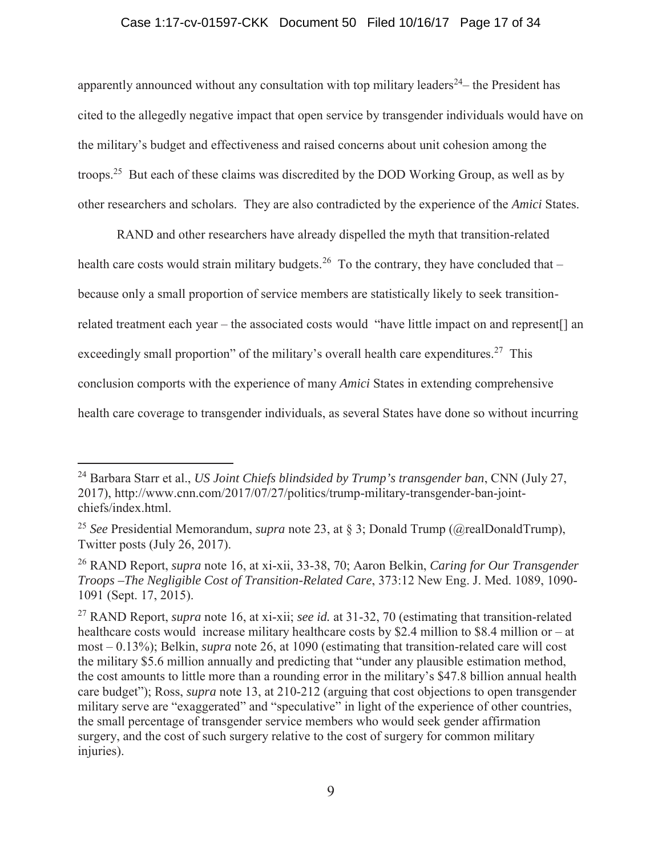### Case 1:17-cv-01597-CKK Document 50 Filed 10/16/17 Page 17 of 34

apparently announced without any consultation with top military leaders<sup>24</sup> – the President has cited to the allegedly negative impact that open service by transgender individuals would have on the military's budget and effectiveness and raised concerns about unit cohesion among the troops.25 But each of these claims was discredited by the DOD Working Group, as well as by other researchers and scholars. They are also contradicted by the experience of the *Amici* States.

RAND and other researchers have already dispelled the myth that transition-related health care costs would strain military budgets.<sup>26</sup> To the contrary, they have concluded that – because only a small proportion of service members are statistically likely to seek transitionrelated treatment each year – the associated costs would "have little impact on and represent[] an exceedingly small proportion" of the military's overall health care expenditures.<sup>27</sup> This conclusion comports with the experience of many *Amici* States in extending comprehensive health care coverage to transgender individuals, as several States have done so without incurring

<sup>24</sup> Barbara Starr et al., *US Joint Chiefs blindsided by Trump's transgender ban*, CNN (July 27, 2017), http://www.cnn.com/2017/07/27/politics/trump-military-transgender-ban-jointchiefs/index.html.

<sup>25</sup> *See* Presidential Memorandum, *supra* note 23, at § 3; Donald Trump (@realDonaldTrump), Twitter posts (July 26, 2017).

<sup>26</sup> RAND Report, *supra* note 16, at xi-xii, 33-38, 70; Aaron Belkin, *Caring for Our Transgender Troops –The Negligible Cost of Transition-Related Care*, 373:12 New Eng. J. Med. 1089, 1090- 1091 (Sept. 17, 2015).

<sup>27</sup> RAND Report, *supra* note 16, at xi-xii; *see id.* at 31-32, 70 (estimating that transition-related healthcare costs would increase military healthcare costs by \$2.4 million to \$8.4 million or – at most – 0.13%); Belkin, *supra* note 26, at 1090 (estimating that transition-related care will cost the military \$5.6 million annually and predicting that "under any plausible estimation method, the cost amounts to little more than a rounding error in the military's \$47.8 billion annual health care budget"); Ross, *supra* note 13, at 210-212 (arguing that cost objections to open transgender military serve are "exaggerated" and "speculative" in light of the experience of other countries, the small percentage of transgender service members who would seek gender affirmation surgery, and the cost of such surgery relative to the cost of surgery for common military injuries).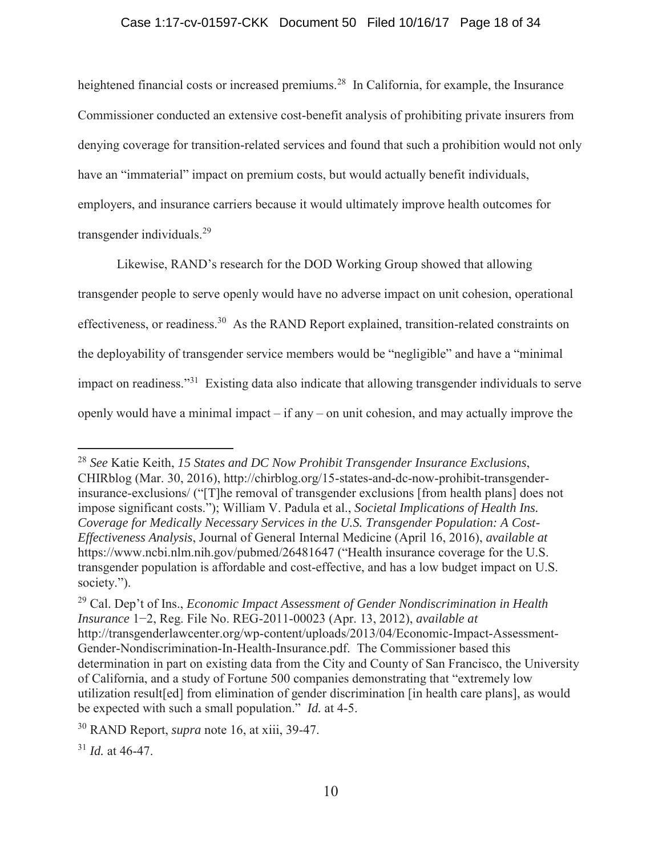## Case 1:17-cv-01597-CKK Document 50 Filed 10/16/17 Page 18 of 34

heightened financial costs or increased premiums.<sup>28</sup> In California, for example, the Insurance Commissioner conducted an extensive cost-benefit analysis of prohibiting private insurers from denying coverage for transition-related services and found that such a prohibition would not only have an "immaterial" impact on premium costs, but would actually benefit individuals, employers, and insurance carriers because it would ultimately improve health outcomes for transgender individuals.29

Likewise, RAND's research for the DOD Working Group showed that allowing transgender people to serve openly would have no adverse impact on unit cohesion, operational effectiveness, or readiness.<sup>30</sup> As the RAND Report explained, transition-related constraints on the deployability of transgender service members would be "negligible" and have a "minimal impact on readiness."31 Existing data also indicate that allowing transgender individuals to serve openly would have a minimal impact – if any – on unit cohesion, and may actually improve the

<sup>28</sup> *See* Katie Keith, *15 States and DC Now Prohibit Transgender Insurance Exclusions*, CHIRblog (Mar. 30, 2016), http://chirblog.org/15-states-and-dc-now-prohibit-transgenderinsurance-exclusions/ ("[T]he removal of transgender exclusions [from health plans] does not impose significant costs."); William V. Padula et al., *Societal Implications of Health Ins. Coverage for Medically Necessary Services in the U.S. Transgender Population: A Cost-Effectiveness Analysis*, Journal of General Internal Medicine (April 16, 2016), *available at* https://www.ncbi.nlm.nih.gov/pubmed/26481647 ("Health insurance coverage for the U.S. transgender population is affordable and cost-effective, and has a low budget impact on U.S. society.").

<sup>29</sup> Cal. Dep't of Ins., *Economic Impact Assessment of Gender Nondiscrimination in Health Insurance* 1−2, Reg. File No. REG-2011-00023 (Apr. 13, 2012), *available at* http://transgenderlawcenter.org/wp-content/uploads/2013/04/Economic-Impact-Assessment-Gender-Nondiscrimination-In-Health-Insurance.pdf. The Commissioner based this determination in part on existing data from the City and County of San Francisco, the University of California, and a study of Fortune 500 companies demonstrating that "extremely low utilization result[ed] from elimination of gender discrimination [in health care plans], as would be expected with such a small population." *Id.* at 4-5.

<sup>30</sup> RAND Report, *supra* note 16, at xiii, 39-47.

 $31$  *Id.* at 46-47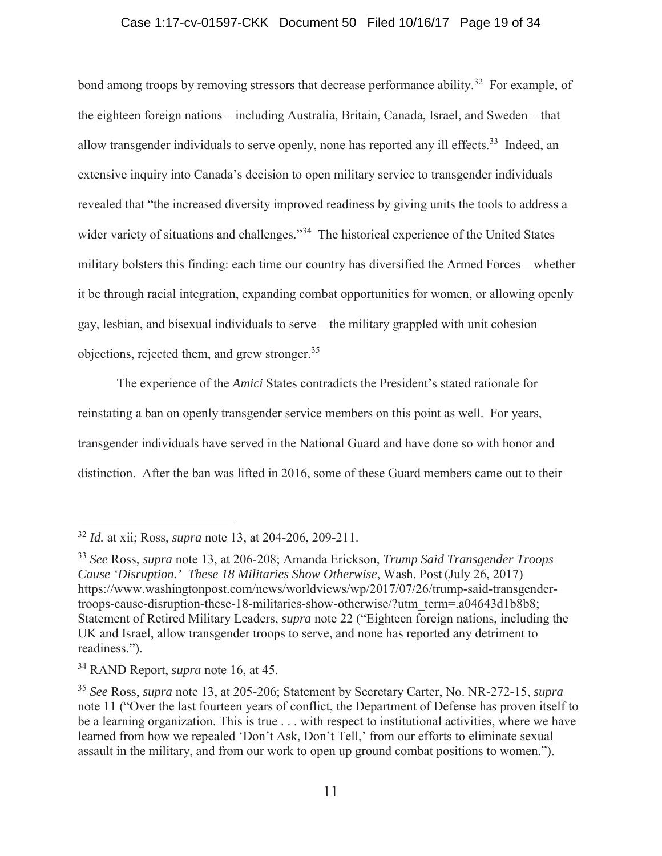### Case 1:17-cv-01597-CKK Document 50 Filed 10/16/17 Page 19 of 34

bond among troops by removing stressors that decrease performance ability.<sup>32</sup> For example, of the eighteen foreign nations – including Australia, Britain, Canada, Israel, and Sweden – that allow transgender individuals to serve openly, none has reported any ill effects.<sup>33</sup> Indeed, an extensive inquiry into Canada's decision to open military service to transgender individuals revealed that "the increased diversity improved readiness by giving units the tools to address a wider variety of situations and challenges."<sup>34</sup> The historical experience of the United States military bolsters this finding: each time our country has diversified the Armed Forces – whether it be through racial integration, expanding combat opportunities for women, or allowing openly gay, lesbian, and bisexual individuals to serve – the military grappled with unit cohesion objections, rejected them, and grew stronger.<sup>35</sup>

The experience of the *Amici* States contradicts the President's stated rationale for reinstating a ban on openly transgender service members on this point as well. For years, transgender individuals have served in the National Guard and have done so with honor and distinction. After the ban was lifted in 2016, some of these Guard members came out to their

<sup>32</sup> *Id.* at xii; Ross, *supra* note 13, at 204-206, 209-211.

<sup>33</sup> *See* Ross, *supra* note 13, at 206-208; Amanda Erickson, *Trump Said Transgender Troops Cause 'Disruption.' These 18 Militaries Show Otherwise*, Wash. Post (July 26, 2017) https://www.washingtonpost.com/news/worldviews/wp/2017/07/26/trump-said-transgendertroops-cause-disruption-these-18-militaries-show-otherwise/?utm\_term=.a04643d1b8b8; Statement of Retired Military Leaders, *supra* note 22 ("Eighteen foreign nations, including the UK and Israel, allow transgender troops to serve, and none has reported any detriment to readiness.").

<sup>34</sup> RAND Report, *supra* note 16, at 45.

<sup>35</sup> *See* Ross, *supra* note 13, at 205-206; Statement by Secretary Carter, No. NR-272-15, *supra* note 11 ("Over the last fourteen years of conflict, the Department of Defense has proven itself to be a learning organization. This is true . . . with respect to institutional activities, where we have learned from how we repealed 'Don't Ask, Don't Tell,' from our efforts to eliminate sexual assault in the military, and from our work to open up ground combat positions to women.").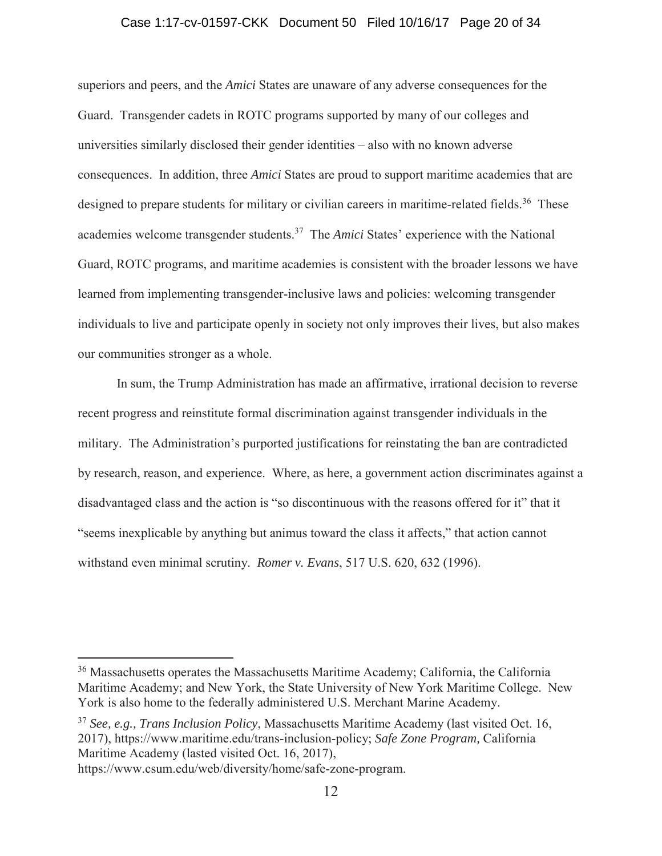#### Case 1:17-cv-01597-CKK Document 50 Filed 10/16/17 Page 20 of 34

superiors and peers, and the *Amici* States are unaware of any adverse consequences for the Guard. Transgender cadets in ROTC programs supported by many of our colleges and universities similarly disclosed their gender identities – also with no known adverse consequences. In addition, three *Amici* States are proud to support maritime academies that are designed to prepare students for military or civilian careers in maritime-related fields.<sup>36</sup> These academies welcome transgender students.37 The *Amici* States' experience with the National Guard, ROTC programs, and maritime academies is consistent with the broader lessons we have learned from implementing transgender-inclusive laws and policies: welcoming transgender individuals to live and participate openly in society not only improves their lives, but also makes our communities stronger as a whole.

In sum, the Trump Administration has made an affirmative, irrational decision to reverse recent progress and reinstitute formal discrimination against transgender individuals in the military. The Administration's purported justifications for reinstating the ban are contradicted by research, reason, and experience. Where, as here, a government action discriminates against a disadvantaged class and the action is "so discontinuous with the reasons offered for it" that it "seems inexplicable by anything but animus toward the class it affects," that action cannot withstand even minimal scrutiny. *Romer v. Evans*, 517 U.S. 620, 632 (1996).

<sup>36</sup> Massachusetts operates the Massachusetts Maritime Academy; California, the California Maritime Academy; and New York, the State University of New York Maritime College. New York is also home to the federally administered U.S. Merchant Marine Academy.

<sup>37</sup> *See, e.g., Trans Inclusion Policy*, Massachusetts Maritime Academy (last visited Oct. 16, 2017), https://www.maritime.edu/trans-inclusion-policy; *Safe Zone Program,* California Maritime Academy (lasted visited Oct. 16, 2017), https://www.csum.edu/web/diversity/home/safe-zone-program.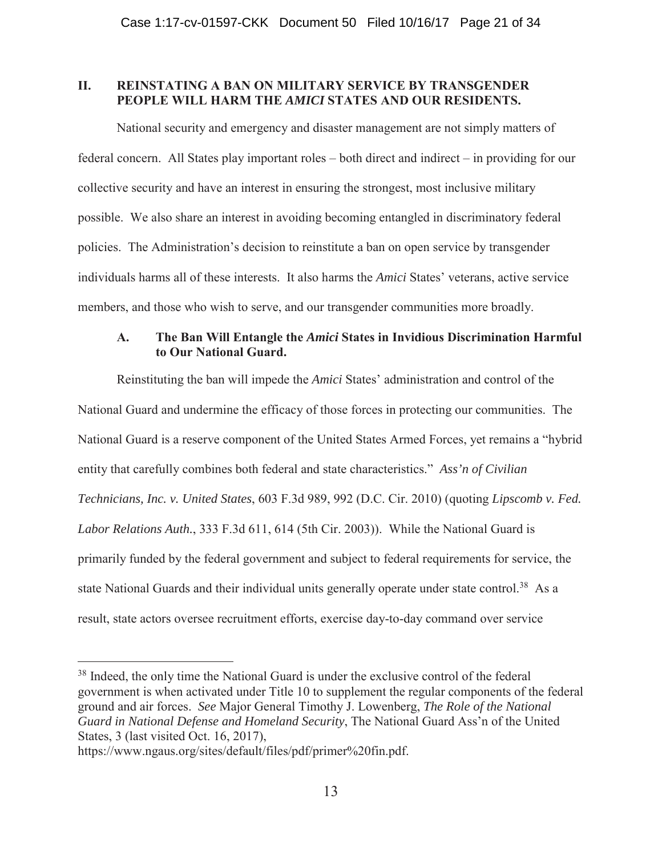# **II. REINSTATING A BAN ON MILITARY SERVICE BY TRANSGENDER PEOPLE WILL HARM THE** *AMICI* **STATES AND OUR RESIDENTS.**

National security and emergency and disaster management are not simply matters of federal concern. All States play important roles – both direct and indirect – in providing for our collective security and have an interest in ensuring the strongest, most inclusive military possible. We also share an interest in avoiding becoming entangled in discriminatory federal policies. The Administration's decision to reinstitute a ban on open service by transgender individuals harms all of these interests. It also harms the *Amici* States' veterans, active service members, and those who wish to serve, and our transgender communities more broadly.

# **A. The Ban Will Entangle the** *Amici* **States in Invidious Discrimination Harmful to Our National Guard.**

Reinstituting the ban will impede the *Amici* States' administration and control of the National Guard and undermine the efficacy of those forces in protecting our communities. The National Guard is a reserve component of the United States Armed Forces, yet remains a "hybrid entity that carefully combines both federal and state characteristics." *Ass'n of Civilian Technicians, Inc. v. United States*, 603 F.3d 989, 992 (D.C. Cir. 2010) (quoting *Lipscomb v. Fed. Labor Relations Auth.*, 333 F.3d 611, 614 (5th Cir. 2003)). While the National Guard is primarily funded by the federal government and subject to federal requirements for service, the state National Guards and their individual units generally operate under state control.<sup>38</sup> As a result, state actors oversee recruitment efforts, exercise day-to-day command over service

<sup>&</sup>lt;sup>38</sup> Indeed, the only time the National Guard is under the exclusive control of the federal government is when activated under Title 10 to supplement the regular components of the federal ground and air forces. *See* Major General Timothy J. Lowenberg, *The Role of the National Guard in National Defense and Homeland Security*, The National Guard Ass'n of the United States, 3 (last visited Oct. 16, 2017),

https://www.ngaus.org/sites/default/files/pdf/primer%20fin.pdf.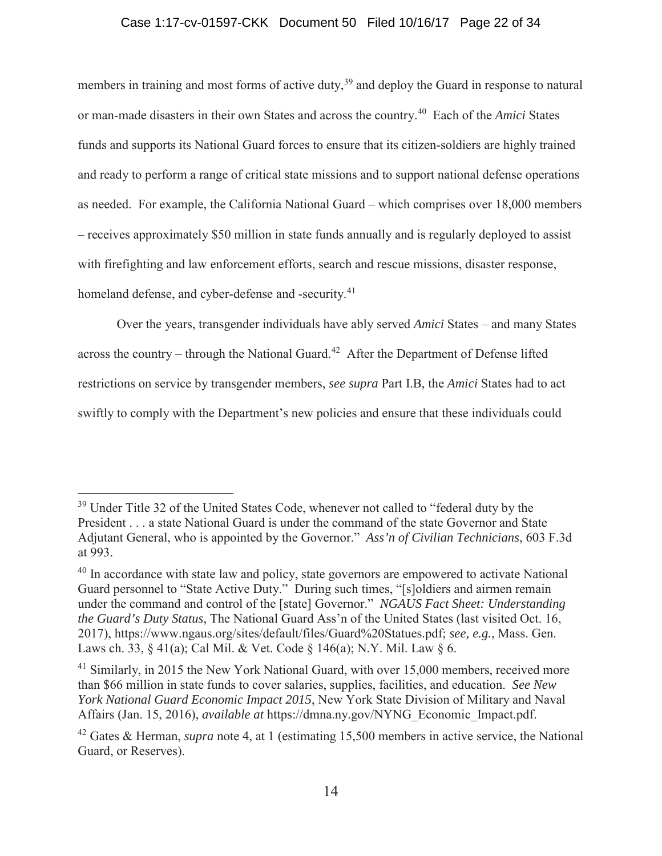### Case 1:17-cv-01597-CKK Document 50 Filed 10/16/17 Page 22 of 34

members in training and most forms of active duty,<sup>39</sup> and deploy the Guard in response to natural or man-made disasters in their own States and across the country.40 Each of the *Amici* States funds and supports its National Guard forces to ensure that its citizen-soldiers are highly trained and ready to perform a range of critical state missions and to support national defense operations as needed. For example, the California National Guard – which comprises over 18,000 members – receives approximately \$50 million in state funds annually and is regularly deployed to assist with firefighting and law enforcement efforts, search and rescue missions, disaster response, homeland defense, and cyber-defense and -security.<sup>41</sup>

Over the years, transgender individuals have ably served *Amici* States – and many States across the country – through the National Guard.<sup>42</sup> After the Department of Defense lifted restrictions on service by transgender members, *see supra* Part I.B, the *Amici* States had to act swiftly to comply with the Department's new policies and ensure that these individuals could

<sup>&</sup>lt;sup>39</sup> Under Title 32 of the United States Code, whenever not called to "federal duty by the President . . . a state National Guard is under the command of the state Governor and State Adjutant General, who is appointed by the Governor." *Ass'n of Civilian Technicians*, 603 F.3d at 993.

<sup>&</sup>lt;sup>40</sup> In accordance with state law and policy, state governors are empowered to activate National Guard personnel to "State Active Duty." During such times, "[s]oldiers and airmen remain under the command and control of the [state] Governor." *NGAUS Fact Sheet: Understanding the Guard's Duty Status*, The National Guard Ass'n of the United States (last visited Oct. 16, 2017), https://www.ngaus.org/sites/default/files/Guard%20Statues.pdf; *see, e.g.*, Mass. Gen. Laws ch. 33, § 41(a); Cal Mil. & Vet. Code § 146(a); N.Y. Mil. Law § 6.

 $41$  Similarly, in 2015 the New York National Guard, with over 15,000 members, received more than \$66 million in state funds to cover salaries, supplies, facilities, and education. *See New York National Guard Economic Impact 2015*, New York State Division of Military and Naval Affairs (Jan. 15, 2016), *available at* https://dmna.ny.gov/NYNG\_Economic\_Impact.pdf.

<sup>42</sup> Gates & Herman, *supra* note 4, at 1 (estimating 15,500 members in active service, the National Guard, or Reserves).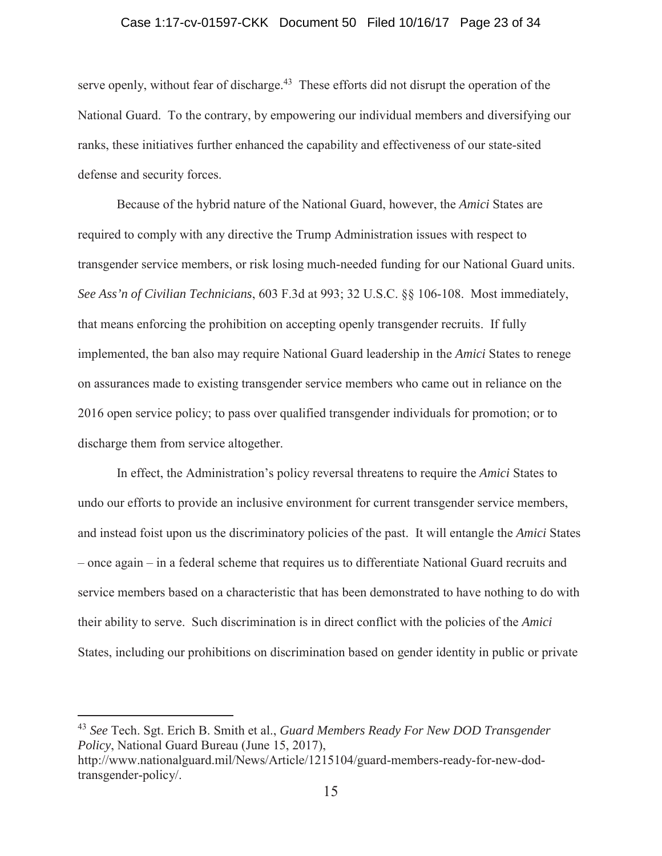#### Case 1:17-cv-01597-CKK Document 50 Filed 10/16/17 Page 23 of 34

serve openly, without fear of discharge.<sup>43</sup> These efforts did not disrupt the operation of the National Guard. To the contrary, by empowering our individual members and diversifying our ranks, these initiatives further enhanced the capability and effectiveness of our state-sited defense and security forces.

Because of the hybrid nature of the National Guard, however, the *Amici* States are required to comply with any directive the Trump Administration issues with respect to transgender service members, or risk losing much-needed funding for our National Guard units. *See Ass'n of Civilian Technicians*, 603 F.3d at 993; 32 U.S.C. §§ 106-108. Most immediately, that means enforcing the prohibition on accepting openly transgender recruits. If fully implemented, the ban also may require National Guard leadership in the *Amici* States to renege on assurances made to existing transgender service members who came out in reliance on the 2016 open service policy; to pass over qualified transgender individuals for promotion; or to discharge them from service altogether.

In effect, the Administration's policy reversal threatens to require the *Amici* States to undo our efforts to provide an inclusive environment for current transgender service members, and instead foist upon us the discriminatory policies of the past. It will entangle the *Amici* States – once again – in a federal scheme that requires us to differentiate National Guard recruits and service members based on a characteristic that has been demonstrated to have nothing to do with their ability to serve. Such discrimination is in direct conflict with the policies of the *Amici*  States, including our prohibitions on discrimination based on gender identity in public or private

<sup>43</sup> *See* Tech. Sgt. Erich B. Smith et al., *Guard Members Ready For New DOD Transgender Policy*, National Guard Bureau (June 15, 2017), http://www.nationalguard.mil/News/Article/1215104/guard-members-ready-for-new-dodtransgender-policy/.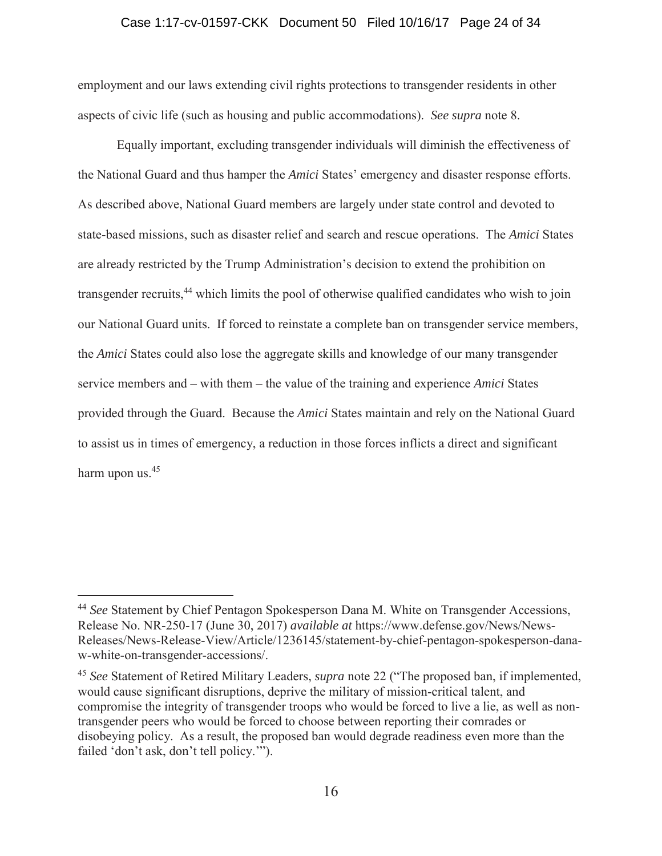#### Case 1:17-cv-01597-CKK Document 50 Filed 10/16/17 Page 24 of 34

employment and our laws extending civil rights protections to transgender residents in other aspects of civic life (such as housing and public accommodations). *See supra* note 8.

Equally important, excluding transgender individuals will diminish the effectiveness of the National Guard and thus hamper the *Amici* States' emergency and disaster response efforts. As described above, National Guard members are largely under state control and devoted to state-based missions, such as disaster relief and search and rescue operations. The *Amici* States are already restricted by the Trump Administration's decision to extend the prohibition on transgender recruits,<sup>44</sup> which limits the pool of otherwise qualified candidates who wish to join our National Guard units. If forced to reinstate a complete ban on transgender service members, the *Amici* States could also lose the aggregate skills and knowledge of our many transgender service members and – with them – the value of the training and experience *Amici* States provided through the Guard. Because the *Amici* States maintain and rely on the National Guard to assist us in times of emergency, a reduction in those forces inflicts a direct and significant harm upon us.<sup>45</sup>

<sup>44</sup> *See* Statement by Chief Pentagon Spokesperson Dana M. White on Transgender Accessions, Release No. NR-250-17 (June 30, 2017) *available at* https://www.defense.gov/News/News-Releases/News-Release-View/Article/1236145/statement-by-chief-pentagon-spokesperson-danaw-white-on-transgender-accessions/.

<sup>45</sup> *See* Statement of Retired Military Leaders, *supra* note 22 ("The proposed ban, if implemented, would cause significant disruptions, deprive the military of mission-critical talent, and compromise the integrity of transgender troops who would be forced to live a lie, as well as nontransgender peers who would be forced to choose between reporting their comrades or disobeying policy. As a result, the proposed ban would degrade readiness even more than the failed 'don't ask, don't tell policy.'").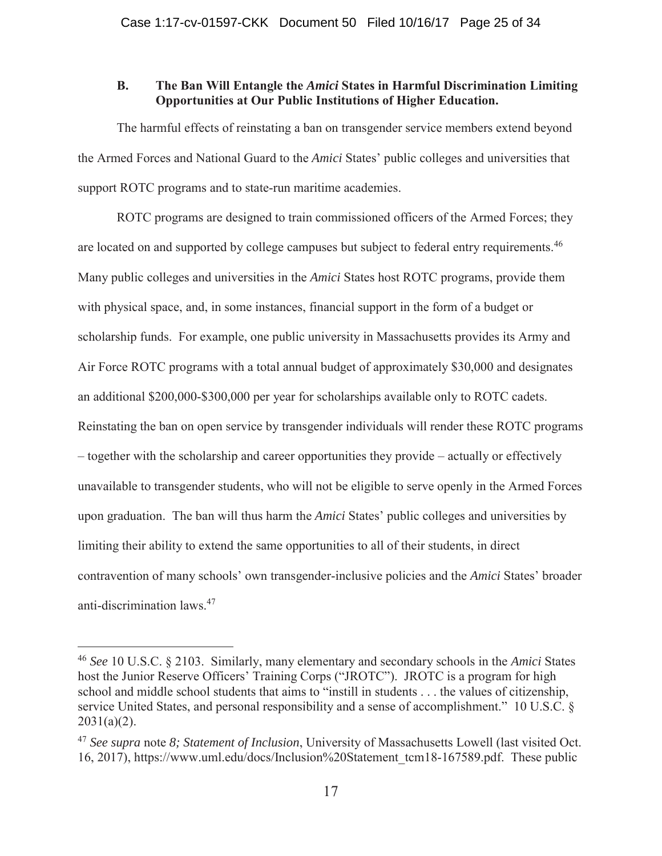# **B. The Ban Will Entangle the** *Amici* **States in Harmful Discrimination Limiting Opportunities at Our Public Institutions of Higher Education.**

The harmful effects of reinstating a ban on transgender service members extend beyond the Armed Forces and National Guard to the *Amici* States' public colleges and universities that support ROTC programs and to state-run maritime academies.

ROTC programs are designed to train commissioned officers of the Armed Forces; they are located on and supported by college campuses but subject to federal entry requirements.<sup>46</sup> Many public colleges and universities in the *Amici* States host ROTC programs, provide them with physical space, and, in some instances, financial support in the form of a budget or scholarship funds.For example, one public university in Massachusetts provides its Army and Air Force ROTC programs with a total annual budget of approximately \$30,000 and designates an additional \$200,000-\$300,000 per year for scholarships available only to ROTC cadets. Reinstating the ban on open service by transgender individuals will render these ROTC programs – together with the scholarship and career opportunities they provide – actually or effectively unavailable to transgender students, who will not be eligible to serve openly in the Armed Forces upon graduation. The ban will thus harm the *Amici* States' public colleges and universities by limiting their ability to extend the same opportunities to all of their students, in direct contravention of many schools' own transgender-inclusive policies and the *Amici* States' broader anti-discrimination laws.47

<sup>46</sup> *See* 10 U.S.C. § 2103. Similarly, many elementary and secondary schools in the *Amici* States host the Junior Reserve Officers' Training Corps ("JROTC"). JROTC is a program for high school and middle school students that aims to "instill in students . . . the values of citizenship, service United States, and personal responsibility and a sense of accomplishment." 10 U.S.C. §  $2031(a)(2)$ .

<sup>47</sup> *See supra* note *8; Statement of Inclusion*, University of Massachusetts Lowell (last visited Oct. 16, 2017), https://www.uml.edu/docs/Inclusion%20Statement\_tcm18-167589.pdf. These public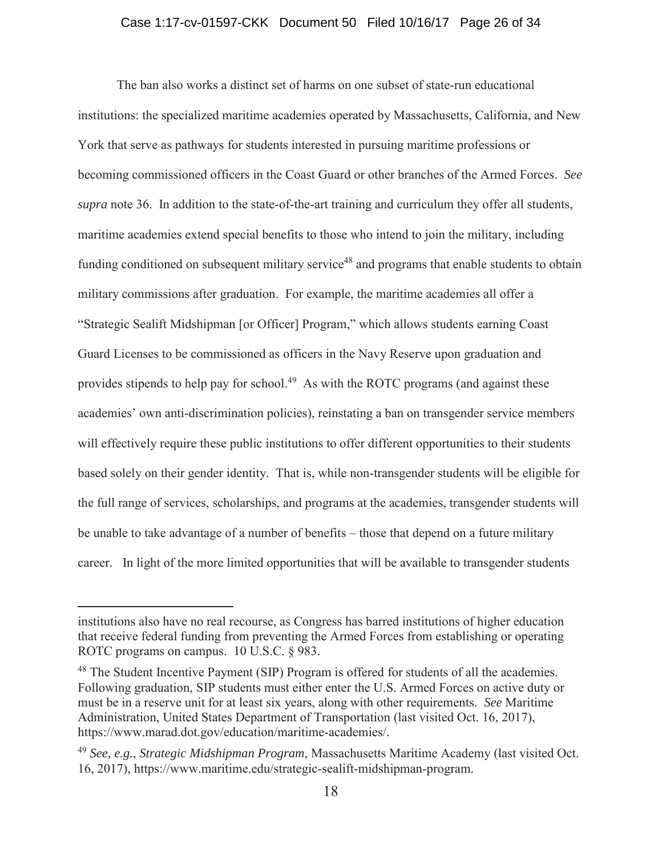#### Case 1:17-cv-01597-CKK Document 50 Filed 10/16/17 Page 26 of 34

The ban also works a distinct set of harms on one subset of state-run educational institutions: the specialized maritime academies operated by Massachusetts, California, and New York that serve as pathways for students interested in pursuing maritime professions or becoming commissioned officers in the Coast Guard or other branches of the Armed Forces. *See supra* note 36. In addition to the state-of-the-art training and curriculum they offer all students, maritime academies extend special benefits to those who intend to join the military, including funding conditioned on subsequent military service<sup>48</sup> and programs that enable students to obtain military commissions after graduation. For example, the maritime academies all offer a "Strategic Sealift Midshipman [or Officer] Program," which allows students earning Coast Guard Licenses to be commissioned as officers in the Navy Reserve upon graduation and provides stipends to help pay for school.<sup>49</sup> As with the ROTC programs (and against these academies' own anti-discrimination policies), reinstating a ban on transgender service members will effectively require these public institutions to offer different opportunities to their students based solely on their gender identity. That is, while non-transgender students will be eligible for the full range of services, scholarships, and programs at the academies, transgender students will be unable to take advantage of a number of benefits – those that depend on a future military career. In light of the more limited opportunities that will be available to transgender students

institutions also have no real recourse, as Congress has barred institutions of higher education that receive federal funding from preventing the Armed Forces from establishing or operating ROTC programs on campus. 10 U.S.C. § 983.

<sup>&</sup>lt;sup>48</sup> The Student Incentive Payment (SIP) Program is offered for students of all the academies. Following graduation, SIP students must either enter the U.S. Armed Forces on active duty or must be in a reserve unit for at least six years, along with other requirements. *See* Maritime Administration, United States Department of Transportation (last visited Oct. 16, 2017), https://www.marad.dot.gov/education/maritime-academies/.

<sup>49</sup> *See, e.g.*, *Strategic Midshipman Program*, Massachusetts Maritime Academy (last visited Oct. 16, 2017), https://www.maritime.edu/strategic-sealift-midshipman-program.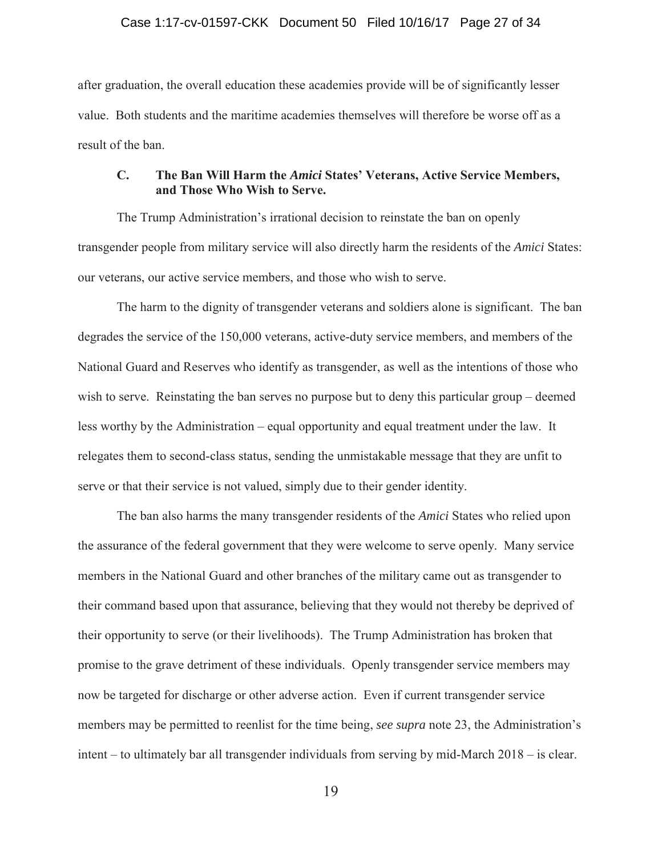#### Case 1:17-cv-01597-CKK Document 50 Filed 10/16/17 Page 27 of 34

after graduation, the overall education these academies provide will be of significantly lesser value. Both students and the maritime academies themselves will therefore be worse off as a result of the ban.

## **C. The Ban Will Harm the** *Amici* **States' Veterans, Active Service Members, and Those Who Wish to Serve.**

The Trump Administration's irrational decision to reinstate the ban on openly transgender people from military service will also directly harm the residents of the *Amici* States: our veterans, our active service members, and those who wish to serve.

The harm to the dignity of transgender veterans and soldiers alone is significant. The ban degrades the service of the 150,000 veterans, active-duty service members, and members of the National Guard and Reserves who identify as transgender, as well as the intentions of those who wish to serve. Reinstating the ban serves no purpose but to deny this particular group – deemed less worthy by the Administration – equal opportunity and equal treatment under the law. It relegates them to second-class status, sending the unmistakable message that they are unfit to serve or that their service is not valued, simply due to their gender identity.

The ban also harms the many transgender residents of the *Amici* States who relied upon the assurance of the federal government that they were welcome to serve openly. Many service members in the National Guard and other branches of the military came out as transgender to their command based upon that assurance, believing that they would not thereby be deprived of their opportunity to serve (or their livelihoods). The Trump Administration has broken that promise to the grave detriment of these individuals. Openly transgender service members may now be targeted for discharge or other adverse action. Even if current transgender service members may be permitted to reenlist for the time being, *see supra* note 23, the Administration's intent – to ultimately bar all transgender individuals from serving by mid-March 2018 – is clear.

19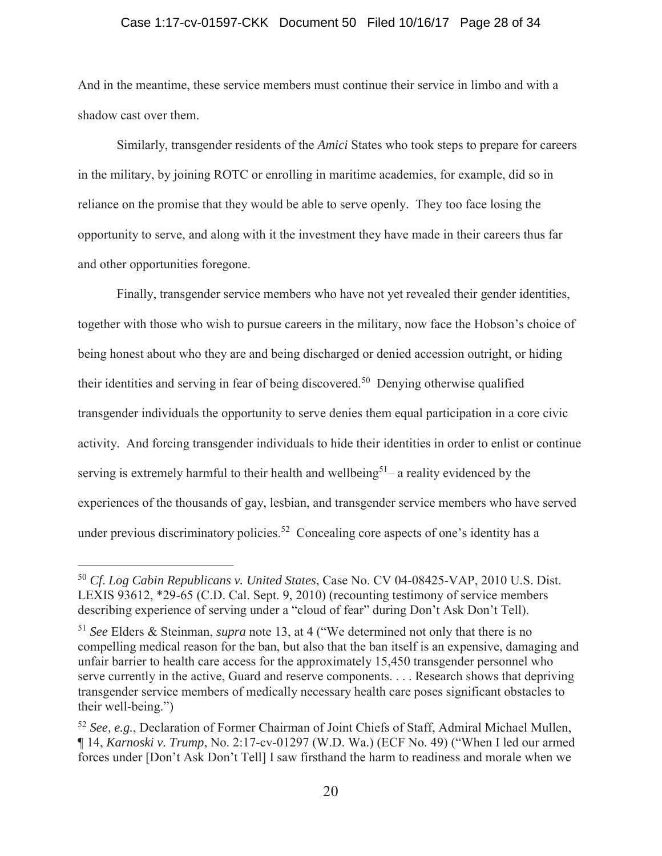#### Case 1:17-cv-01597-CKK Document 50 Filed 10/16/17 Page 28 of 34

And in the meantime, these service members must continue their service in limbo and with a shadow cast over them.

Similarly, transgender residents of the *Amici* States who took steps to prepare for careers in the military, by joining ROTC or enrolling in maritime academies, for example, did so in reliance on the promise that they would be able to serve openly. They too face losing the opportunity to serve, and along with it the investment they have made in their careers thus far and other opportunities foregone.

 Finally, transgender service members who have not yet revealed their gender identities, together with those who wish to pursue careers in the military, now face the Hobson's choice of being honest about who they are and being discharged or denied accession outright, or hiding their identities and serving in fear of being discovered.<sup>50</sup> Denying otherwise qualified transgender individuals the opportunity to serve denies them equal participation in a core civic activity. And forcing transgender individuals to hide their identities in order to enlist or continue serving is extremely harmful to their health and wellbeing<sup>51</sup>– a reality evidenced by the experiences of the thousands of gay, lesbian, and transgender service members who have served under previous discriminatory policies.<sup>52</sup> Concealing core aspects of one's identity has a

<sup>50</sup> *Cf*. *Log Cabin Republicans v. United States*, Case No. CV 04-08425-VAP, 2010 U.S. Dist. LEXIS 93612, \*29-65 (C.D. Cal. Sept. 9, 2010) (recounting testimony of service members describing experience of serving under a "cloud of fear" during Don't Ask Don't Tell).

<sup>51</sup> *See* Elders & Steinman, *supra* note 13, at 4 ("We determined not only that there is no compelling medical reason for the ban, but also that the ban itself is an expensive, damaging and unfair barrier to health care access for the approximately 15,450 transgender personnel who serve currently in the active, Guard and reserve components. . . . Research shows that depriving transgender service members of medically necessary health care poses significant obstacles to their well-being.")

<sup>52</sup> *See, e.g.*, Declaration of Former Chairman of Joint Chiefs of Staff, Admiral Michael Mullen, ¶ 14, *Karnoski v. Trump*, No. 2:17-cv-01297 (W.D. Wa.) (ECF No. 49) ("When I led our armed forces under [Don't Ask Don't Tell] I saw firsthand the harm to readiness and morale when we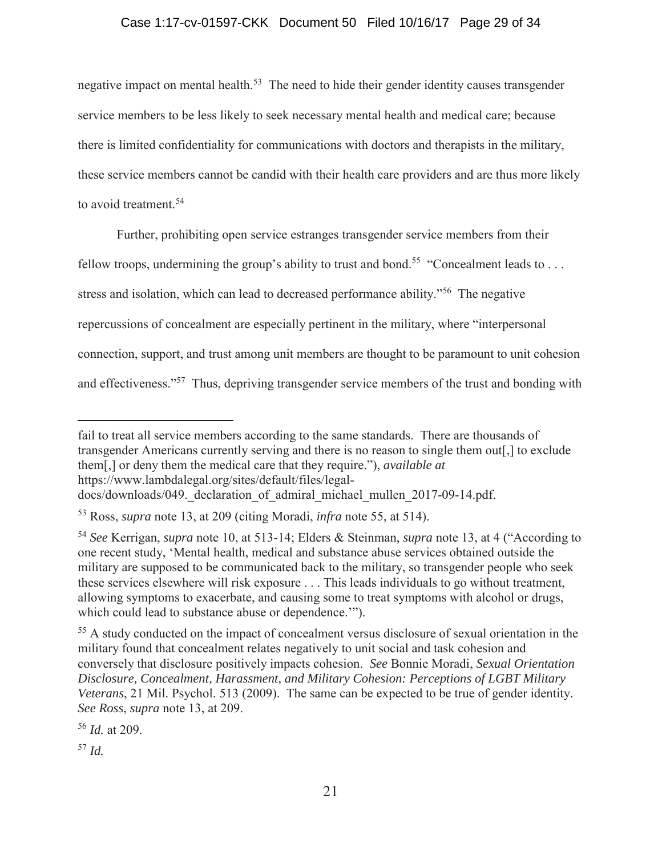# Case 1:17-cv-01597-CKK Document 50 Filed 10/16/17 Page 29 of 34

negative impact on mental health.<sup>53</sup> The need to hide their gender identity causes transgender service members to be less likely to seek necessary mental health and medical care; because there is limited confidentiality for communications with doctors and therapists in the military, these service members cannot be candid with their health care providers and are thus more likely to avoid treatment.<sup>54</sup>

Further, prohibiting open service estranges transgender service members from their

fellow troops, undermining the group's ability to trust and bond.<sup>55</sup> "Concealment leads to ...

stress and isolation, which can lead to decreased performance ability."56 The negative

repercussions of concealment are especially pertinent in the military, where "interpersonal

connection, support, and trust among unit members are thought to be paramount to unit cohesion

and effectiveness."57 Thus, depriving transgender service members of the trust and bonding with

<sup>56</sup> *Id.* at 209.

<sup>57</sup> *Id.*

fail to treat all service members according to the same standards. There are thousands of transgender Americans currently serving and there is no reason to single them out[,] to exclude them[,] or deny them the medical care that they require."), *available at* https://www.lambdalegal.org/sites/default/files/legal-

docs/downloads/049. declaration of admiral michael mullen 2017-09-14.pdf.

<sup>53</sup> Ross, *supra* note 13, at 209 (citing Moradi, *infra* note 55, at 514).

<sup>54</sup> *See* Kerrigan, *supra* note 10, at 513-14; Elders & Steinman, *supra* note 13, at 4 ("According to one recent study, 'Mental health, medical and substance abuse services obtained outside the military are supposed to be communicated back to the military, so transgender people who seek these services elsewhere will risk exposure . . . This leads individuals to go without treatment, allowing symptoms to exacerbate, and causing some to treat symptoms with alcohol or drugs, which could lead to substance abuse or dependence.'").

<sup>55</sup> A study conducted on the impact of concealment versus disclosure of sexual orientation in the military found that concealment relates negatively to unit social and task cohesion and conversely that disclosure positively impacts cohesion. *See* Bonnie Moradi, *Sexual Orientation Disclosure, Concealment, Harassment, and Military Cohesion: Perceptions of LGBT Military Veterans*, 21 Mil. Psychol. 513 (2009). The same can be expected to be true of gender identity. *See Ross*, *supra* note 13, at 209.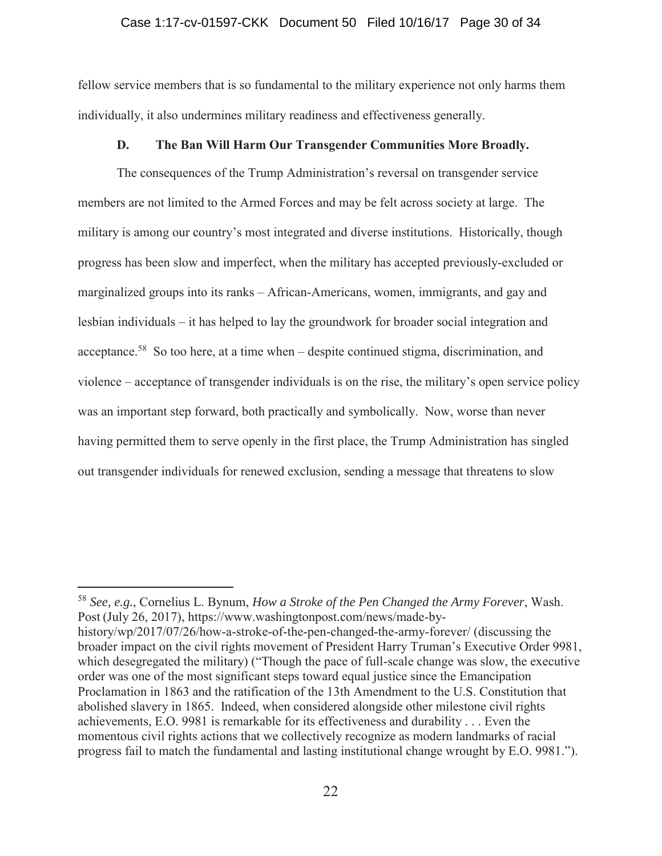#### Case 1:17-cv-01597-CKK Document 50 Filed 10/16/17 Page 30 of 34

fellow service members that is so fundamental to the military experience not only harms them individually, it also undermines military readiness and effectiveness generally.

### **D. The Ban Will Harm Our Transgender Communities More Broadly.**

The consequences of the Trump Administration's reversal on transgender service members are not limited to the Armed Forces and may be felt across society at large. The military is among our country's most integrated and diverse institutions. Historically, though progress has been slow and imperfect, when the military has accepted previously-excluded or marginalized groups into its ranks – African-Americans, women, immigrants, and gay and lesbian individuals – it has helped to lay the groundwork for broader social integration and acceptance.58 So too here, at a time when – despite continued stigma, discrimination, and violence – acceptance of transgender individuals is on the rise, the military's open service policy was an important step forward, both practically and symbolically. Now, worse than never having permitted them to serve openly in the first place, the Trump Administration has singled out transgender individuals for renewed exclusion, sending a message that threatens to slow

<sup>58</sup> *See, e.g.*, Cornelius L. Bynum, *How a Stroke of the Pen Changed the Army Forever*, Wash. Post (July 26, 2017), https://www.washingtonpost.com/news/made-by-

history/wp/2017/07/26/how-a-stroke-of-the-pen-changed-the-army-forever/ (discussing the broader impact on the civil rights movement of President Harry Truman's Executive Order 9981, which desegregated the military) ("Though the pace of full-scale change was slow, the executive order was one of the most significant steps toward equal justice since the Emancipation Proclamation in 1863 and the ratification of the 13th Amendment to the U.S. Constitution that abolished slavery in 1865. Indeed, when considered alongside other milestone civil rights achievements, E.O. 9981 is remarkable for its effectiveness and durability . . . Even the momentous civil rights actions that we collectively recognize as modern landmarks of racial progress fail to match the fundamental and lasting institutional change wrought by E.O. 9981.").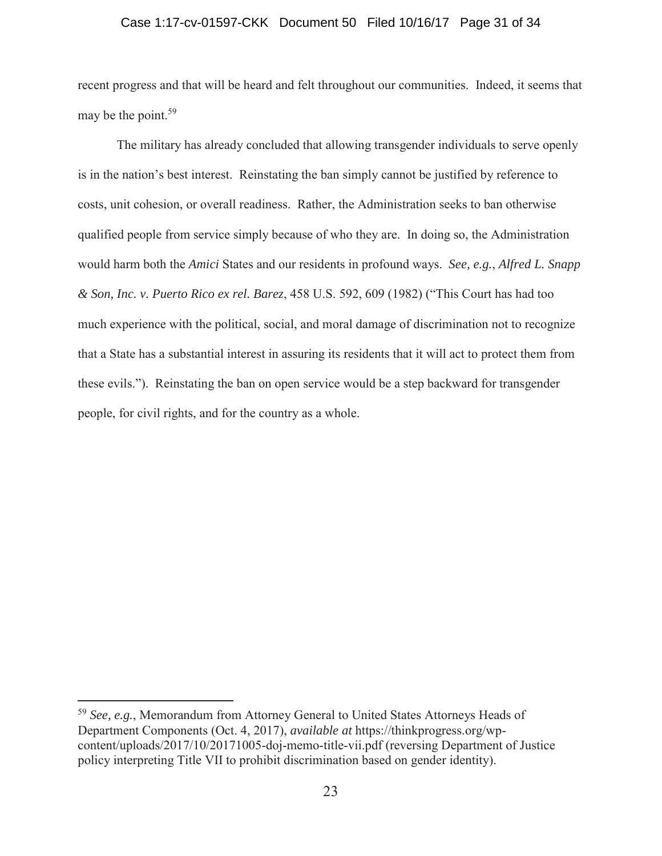#### Case 1:17-cv-01597-CKK Document 50 Filed 10/16/17 Page 31 of 34

recent progress and that will be heard and felt throughout our communities. Indeed, it seems that may be the point.<sup>59</sup>

The military has already concluded that allowing transgender individuals to serve openly is in the nation's best interest. Reinstating the ban simply cannot be justified by reference to costs, unit cohesion, or overall readiness. Rather, the Administration seeks to ban otherwise qualified people from service simply because of who they are. In doing so, the Administration would harm both the *Amici* States and our residents in profound ways. *See, e.g.*, *Alfred L. Snapp & Son, Inc. v. Puerto Rico ex rel. Barez*, 458 U.S. 592, 609 (1982) ("This Court has had too much experience with the political, social, and moral damage of discrimination not to recognize that a State has a substantial interest in assuring its residents that it will act to protect them from these evils."). Reinstating the ban on open service would be a step backward for transgender people, for civil rights, and for the country as a whole.

<sup>59</sup> *See, e.g.*, Memorandum from Attorney General to United States Attorneys Heads of Department Components (Oct. 4, 2017), *available at* https://thinkprogress.org/wpcontent/uploads/2017/10/20171005-doj-memo-title-vii.pdf (reversing Department of Justice policy interpreting Title VII to prohibit discrimination based on gender identity).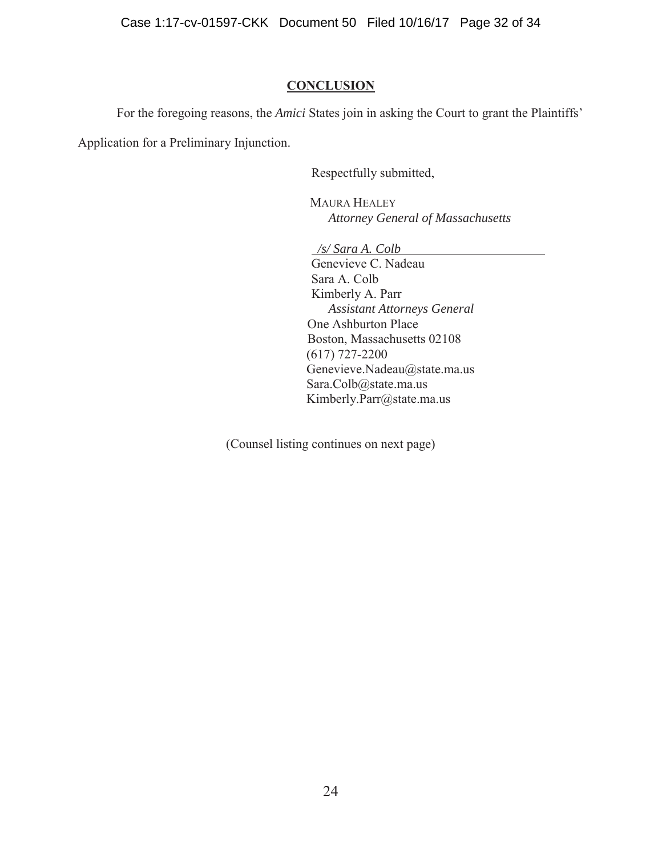Case 1:17-cv-01597-CKK Document 50 Filed 10/16/17 Page 32 of 34

### **CONCLUSION**

For the foregoing reasons, the *Amici* States join in asking the Court to grant the Plaintiffs'

Application for a Preliminary Injunction.

Respectfully submitted,

MAURA HEALEY *Attorney General of Massachusetts* 

*/s/ Sara A. Colb* 

Genevieve C. Nadeau Sara A. Colb Kimberly A. Parr *Assistant Attorneys General* One Ashburton Place Boston, Massachusetts 02108 (617) 727-2200 Genevieve.Nadeau@state.ma.us Sara.Colb@state.ma.us Kimberly.Parr@state.ma.us

(Counsel listing continues on next page)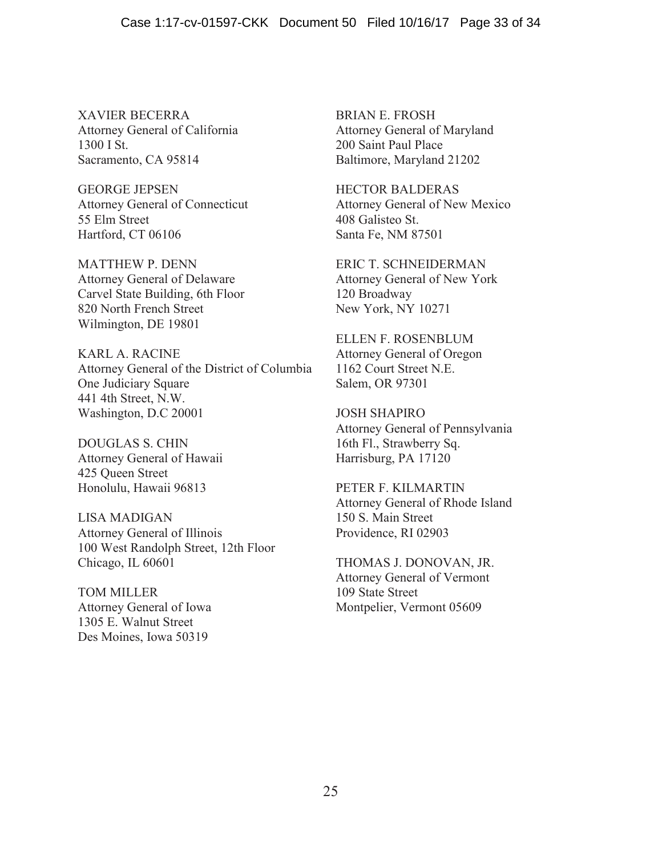XAVIER BECERRA Attorney General of California 1300 I St. Sacramento, CA 95814

GEORGE JEPSEN Attorney General of Connecticut 55 Elm Street Hartford, CT 06106

MATTHEW P. DENN Attorney General of Delaware Carvel State Building, 6th Floor 820 North French Street Wilmington, DE 19801

KARL A. RACINE Attorney General of the District of Columbia One Judiciary Square 441 4th Street, N.W. Washington, D.C 20001

DOUGLAS S. CHIN Attorney General of Hawaii 425 Queen Street Honolulu, Hawaii 96813

LISA MADIGAN Attorney General of Illinois 100 West Randolph Street, 12th Floor Chicago, IL 60601

TOM MILLER Attorney General of Iowa 1305 E. Walnut Street Des Moines, Iowa 50319

BRIAN E. FROSH Attorney General of Maryland 200 Saint Paul Place Baltimore, Maryland 21202

HECTOR BALDERAS Attorney General of New Mexico 408 Galisteo St. Santa Fe, NM 87501

ERIC T. SCHNEIDERMAN Attorney General of New York 120 Broadway New York, NY 10271

ELLEN F. ROSENBLUM Attorney General of Oregon 1162 Court Street N.E. Salem, OR 97301

JOSH SHAPIRO Attorney General of Pennsylvania 16th Fl., Strawberry Sq. Harrisburg, PA 17120

PETER F. KILMARTIN Attorney General of Rhode Island 150 S. Main Street Providence, RI 02903

THOMAS J. DONOVAN, JR. Attorney General of Vermont 109 State Street Montpelier, Vermont 05609